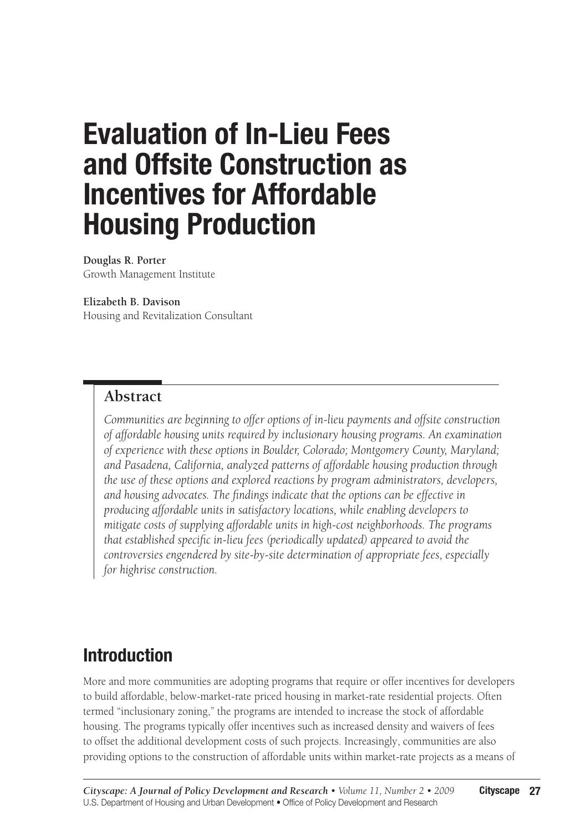# **Evaluation of In-Lieu Fees and Offsite Construction as Incentives for Affordable Housing Production**

**Douglas R. Porter** Growth Management Institute

#### **Elizabeth B. Davison**

Housing and Revitalization Consultant

### **Abstract**

*Communities are beginning to offer options of in-lieu payments and offsite construction of affordable housing units required by inclusionary housing programs. An examination of experience with these options in Boulder, Colorado; Montgomery County, Maryland; and Pasadena, California, analyzed patterns of affordable housing production through the use of these options and explored reactions by program administrators, developers, and housing advocates. The findings indicate that the options can be effective in producing affordable units in satisfactory locations, while enabling developers to mitigate costs of supplying affordable units in high-cost neighborhoods. The programs that established specific in-lieu fees (periodically updated) appeared to avoid the controversies engendered by site-by-site determination of appropriate fees, especially for highrise construction.*

# **Introduction**

More and more communities are adopting programs that require or offer incentives for developers to build affordable, below-market-rate priced housing in market-rate residential projects. Often termed "inclusionary zoning," the programs are intended to increase the stock of affordable housing. The programs typically offer incentives such as increased density and waivers of fees to offset the additional development costs of such projects. Increasingly, communities are also providing options to the construction of affordable units within market-rate projects as a means of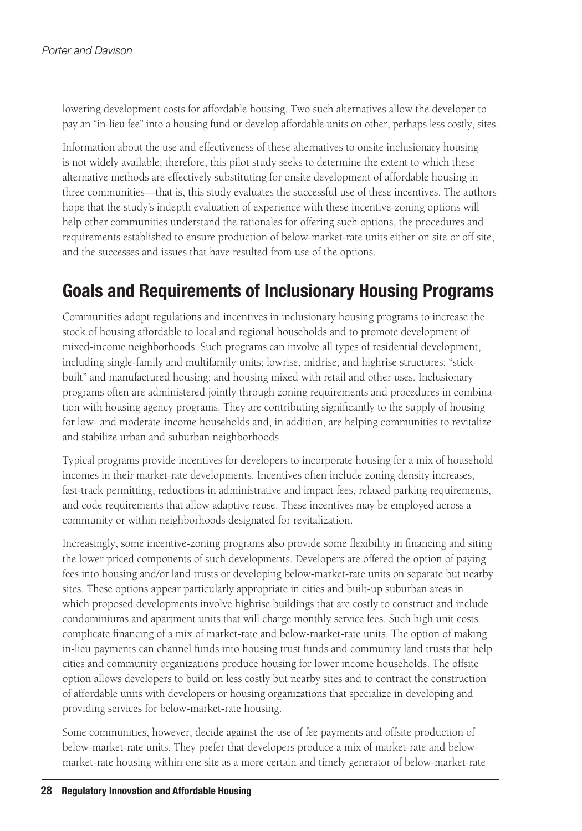lowering development costs for affordable housing. Two such alternatives allow the developer to pay an "in-lieu fee" into a housing fund or develop affordable units on other, perhaps less costly, sites.

Information about the use and effectiveness of these alternatives to onsite inclusionary housing is not widely available; therefore, this pilot study seeks to determine the extent to which these alternative methods are effectively substituting for onsite development of affordable housing in three communities—that is, this study evaluates the successful use of these incentives. The authors hope that the study's indepth evaluation of experience with these incentive-zoning options will help other communities understand the rationales for offering such options, the procedures and requirements established to ensure production of below-market-rate units either on site or off site, and the successes and issues that have resulted from use of the options.

# **Goals and Requirements of Inclusionary Housing Programs**

Communities adopt regulations and incentives in inclusionary housing programs to increase the stock of housing affordable to local and regional households and to promote development of mixed-income neighborhoods. Such programs can involve all types of residential development, including single-family and multifamily units; lowrise, midrise, and highrise structures; "stickbuilt" and manufactured housing; and housing mixed with retail and other uses. Inclusionary programs often are administered jointly through zoning requirements and procedures in combination with housing agency programs. They are contributing significantly to the supply of housing for low- and moderate-income households and, in addition, are helping communities to revitalize and stabilize urban and suburban neighborhoods.

Typical programs provide incentives for developers to incorporate housing for a mix of household incomes in their market-rate developments. Incentives often include zoning density increases, fast-track permitting, reductions in administrative and impact fees, relaxed parking requirements, and code requirements that allow adaptive reuse. These incentives may be employed across a community or within neighborhoods designated for revitalization.

Increasingly, some incentive-zoning programs also provide some flexibility in financing and siting the lower priced components of such developments. Developers are offered the option of paying fees into housing and/or land trusts or developing below-market-rate units on separate but nearby sites. These options appear particularly appropriate in cities and built-up suburban areas in which proposed developments involve highrise buildings that are costly to construct and include condominiums and apartment units that will charge monthly service fees. Such high unit costs complicate financing of a mix of market-rate and below-market-rate units. The option of making in-lieu payments can channel funds into housing trust funds and community land trusts that help cities and community organizations produce housing for lower income households. The offsite option allows developers to build on less costly but nearby sites and to contract the construction of affordable units with developers or housing organizations that specialize in developing and providing services for below-market-rate housing.

Some communities, however, decide against the use of fee payments and offsite production of below-market-rate units. They prefer that developers produce a mix of market-rate and belowmarket-rate housing within one site as a more certain and timely generator of below-market-rate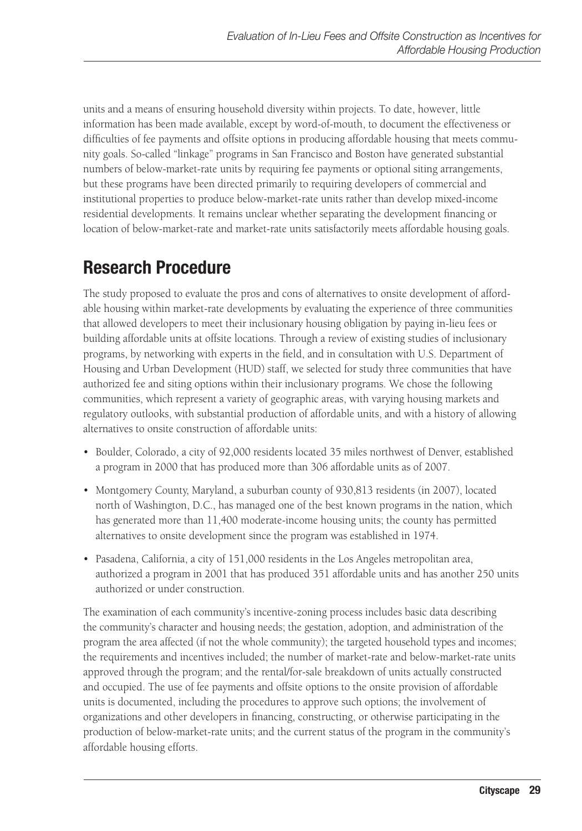units and a means of ensuring household diversity within projects. To date, however, little information has been made available, except by word-of-mouth, to document the effectiveness or difficulties of fee payments and offsite options in producing affordable housing that meets community goals. So-called "linkage" programs in San Francisco and Boston have generated substantial numbers of below-market-rate units by requiring fee payments or optional siting arrangements, but these programs have been directed primarily to requiring developers of commercial and institutional properties to produce below-market-rate units rather than develop mixed-income residential developments. It remains unclear whether separating the development financing or location of below-market-rate and market-rate units satisfactorily meets affordable housing goals.

# **Research Procedure**

The study proposed to evaluate the pros and cons of alternatives to onsite development of affordable housing within market-rate developments by evaluating the experience of three communities that allowed developers to meet their inclusionary housing obligation by paying in-lieu fees or building affordable units at offsite locations. Through a review of existing studies of inclusionary programs, by networking with experts in the field, and in consultation with U.S. Department of Housing and Urban Development (HUD) staff, we selected for study three communities that have authorized fee and siting options within their inclusionary programs. We chose the following communities, which represent a variety of geographic areas, with varying housing markets and regulatory outlooks, with substantial production of affordable units, and with a history of allowing alternatives to onsite construction of affordable units:

- • Boulder, Colorado, a city of 92,000 residents located 35 miles northwest of Denver, established a program in 2000 that has produced more than 306 affordable units as of 2007.
- • Montgomery County, Maryland, a suburban county of 930,813 residents (in 2007), located north of Washington, D.C., has managed one of the best known programs in the nation, which has generated more than 11,400 moderate-income housing units; the county has permitted alternatives to onsite development since the program was established in 1974.
- Pasadena, California, a city of 151,000 residents in the Los Angeles metropolitan area, authorized a program in 2001 that has produced 351 affordable units and has another 250 units authorized or under construction.

The examination of each community's incentive-zoning process includes basic data describing the community's character and housing needs; the gestation, adoption, and administration of the program the area affected (if not the whole community); the targeted household types and incomes; the requirements and incentives included; the number of market-rate and below-market-rate units approved through the program; and the rental/for-sale breakdown of units actually constructed and occupied. The use of fee payments and offsite options to the onsite provision of affordable units is documented, including the procedures to approve such options; the involvement of organizations and other developers in financing, constructing, or otherwise participating in the production of below-market-rate units; and the current status of the program in the community's affordable housing efforts.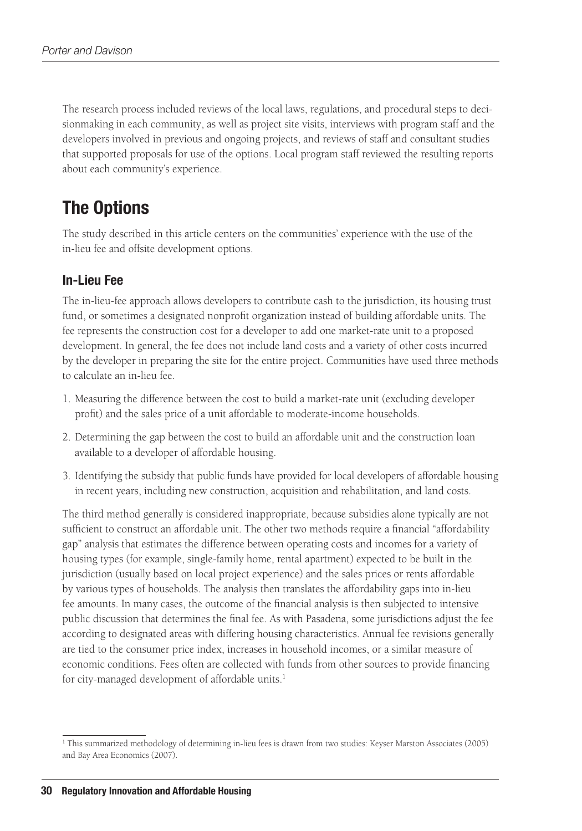The research process included reviews of the local laws, regulations, and procedural steps to decisionmaking in each community, as well as project site visits, interviews with program staff and the developers involved in previous and ongoing projects, and reviews of staff and consultant studies that supported proposals for use of the options. Local program staff reviewed the resulting reports about each community's experience.

# **The Options**

The study described in this article centers on the communities' experience with the use of the in-lieu fee and offsite development options.

### **In-Lieu Fee**

The in-lieu-fee approach allows developers to contribute cash to the jurisdiction, its housing trust fund, or sometimes a designated nonprofit organization instead of building affordable units. The fee represents the construction cost for a developer to add one market-rate unit to a proposed development. In general, the fee does not include land costs and a variety of other costs incurred by the developer in preparing the site for the entire project. Communities have used three methods to calculate an in-lieu fee.

- 1. Measuring the difference between the cost to build a market-rate unit (excluding developer profit) and the sales price of a unit affordable to moderate-income households.
- 2. Determining the gap between the cost to build an affordable unit and the construction loan available to a developer of affordable housing.
- 3. Identifying the subsidy that public funds have provided for local developers of affordable housing in recent years, including new construction, acquisition and rehabilitation, and land costs.

The third method generally is considered inappropriate, because subsidies alone typically are not sufficient to construct an affordable unit. The other two methods require a financial "affordability gap" analysis that estimates the difference between operating costs and incomes for a variety of housing types (for example, single-family home, rental apartment) expected to be built in the jurisdiction (usually based on local project experience) and the sales prices or rents affordable by various types of households. The analysis then translates the affordability gaps into in-lieu fee amounts. In many cases, the outcome of the financial analysis is then subjected to intensive public discussion that determines the final fee. As with Pasadena, some jurisdictions adjust the fee according to designated areas with differing housing characteristics. Annual fee revisions generally are tied to the consumer price index, increases in household incomes, or a similar measure of economic conditions. Fees often are collected with funds from other sources to provide financing for city-managed development of affordable units.<sup>1</sup>

<sup>1</sup> This summarized methodology of determining in-lieu fees is drawn from two studies: Keyser Marston Associates (2005) and Bay Area Economics (2007).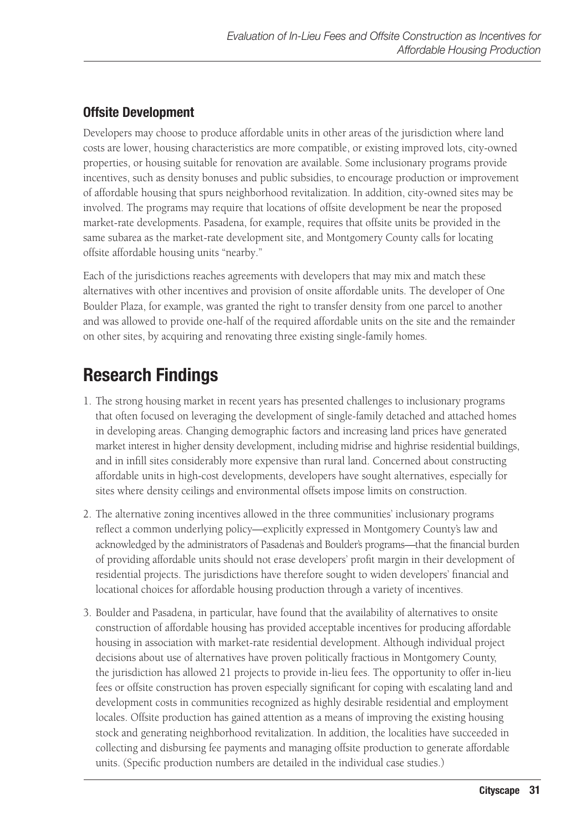### **Offsite Development**

Developers may choose to produce affordable units in other areas of the jurisdiction where land costs are lower, housing characteristics are more compatible, or existing improved lots, city-owned properties, or housing suitable for renovation are available. Some inclusionary programs provide incentives, such as density bonuses and public subsidies, to encourage production or improvement of affordable housing that spurs neighborhood revitalization. In addition, city-owned sites may be involved. The programs may require that locations of offsite development be near the proposed market-rate developments. Pasadena, for example, requires that offsite units be provided in the same subarea as the market-rate development site, and Montgomery County calls for locating offsite affordable housing units "nearby."

Each of the jurisdictions reaches agreements with developers that may mix and match these alternatives with other incentives and provision of onsite affordable units. The developer of One Boulder Plaza, for example, was granted the right to transfer density from one parcel to another and was allowed to provide one-half of the required affordable units on the site and the remainder on other sites, by acquiring and renovating three existing single-family homes.

# **Research Findings**

- 1. The strong housing market in recent years has presented challenges to inclusionary programs that often focused on leveraging the development of single-family detached and attached homes in developing areas. Changing demographic factors and increasing land prices have generated market interest in higher density development, including midrise and highrise residential buildings, and in infill sites considerably more expensive than rural land. Concerned about constructing affordable units in high-cost developments, developers have sought alternatives, especially for sites where density ceilings and environmental offsets impose limits on construction.
- 2. The alternative zoning incentives allowed in the three communities' inclusionary programs reflect a common underlying policy—explicitly expressed in Montgomery County's law and acknowledged by the administrators of Pasadena's and Boulder's programs—that the financial burden of providing affordable units should not erase developers' profit margin in their development of residential projects. The jurisdictions have therefore sought to widen developers' financial and locational choices for affordable housing production through a variety of incentives.
- 3. Boulder and Pasadena, in particular, have found that the availability of alternatives to onsite construction of affordable housing has provided acceptable incentives for producing affordable housing in association with market-rate residential development. Although individual project decisions about use of alternatives have proven politically fractious in Montgomery County, the jurisdiction has allowed 21 projects to provide in-lieu fees. The opportunity to offer in-lieu fees or offsite construction has proven especially significant for coping with escalating land and development costs in communities recognized as highly desirable residential and employment locales. Offsite production has gained attention as a means of improving the existing housing stock and generating neighborhood revitalization. In addition, the localities have succeeded in collecting and disbursing fee payments and managing offsite production to generate affordable units. (Specific production numbers are detailed in the individual case studies.)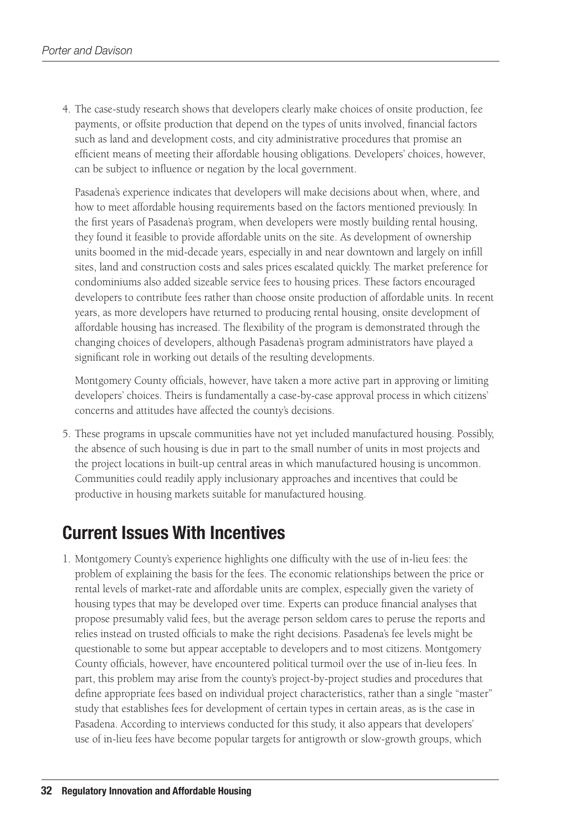4. The case-study research shows that developers clearly make choices of onsite production, fee payments, or offsite production that depend on the types of units involved, financial factors such as land and development costs, and city administrative procedures that promise an efficient means of meeting their affordable housing obligations. Developers' choices, however, can be subject to influence or negation by the local government.

Pasadena's experience indicates that developers will make decisions about when, where, and how to meet affordable housing requirements based on the factors mentioned previously. In the first years of Pasadena's program, when developers were mostly building rental housing, they found it feasible to provide affordable units on the site. As development of ownership units boomed in the mid-decade years, especially in and near downtown and largely on infill sites, land and construction costs and sales prices escalated quickly. The market preference for condominiums also added sizeable service fees to housing prices. These factors encouraged developers to contribute fees rather than choose onsite production of affordable units. In recent years, as more developers have returned to producing rental housing, onsite development of affordable housing has increased. The flexibility of the program is demonstrated through the changing choices of developers, although Pasadena's program administrators have played a significant role in working out details of the resulting developments.

Montgomery County officials, however, have taken a more active part in approving or limiting developers' choices. Theirs is fundamentally a case-by-case approval process in which citizens' concerns and attitudes have affected the county's decisions.

5. These programs in upscale communities have not yet included manufactured housing. Possibly, the absence of such housing is due in part to the small number of units in most projects and the project locations in built-up central areas in which manufactured housing is uncommon. Communities could readily apply inclusionary approaches and incentives that could be productive in housing markets suitable for manufactured housing.

# **Current Issues With Incentives**

1. Montgomery County's experience highlights one difficulty with the use of in-lieu fees: the problem of explaining the basis for the fees. The economic relationships between the price or rental levels of market-rate and affordable units are complex, especially given the variety of housing types that may be developed over time. Experts can produce financial analyses that propose presumably valid fees, but the average person seldom cares to peruse the reports and relies instead on trusted officials to make the right decisions. Pasadena's fee levels might be questionable to some but appear acceptable to developers and to most citizens. Montgomery County officials, however, have encountered political turmoil over the use of in-lieu fees. In part, this problem may arise from the county's project-by-project studies and procedures that define appropriate fees based on individual project characteristics, rather than a single "master" study that establishes fees for development of certain types in certain areas, as is the case in Pasadena. According to interviews conducted for this study, it also appears that developers' use of in-lieu fees have become popular targets for antigrowth or slow-growth groups, which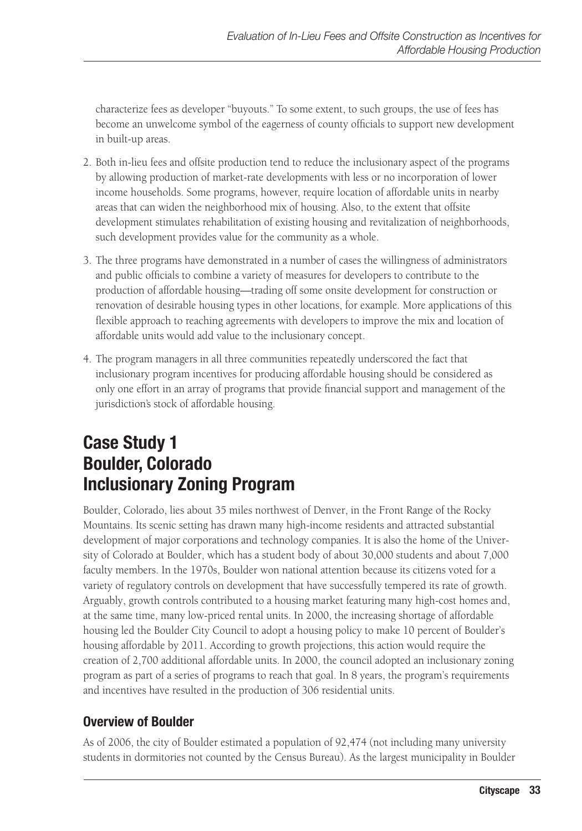characterize fees as developer "buyouts." To some extent, to such groups, the use of fees has become an unwelcome symbol of the eagerness of county officials to support new development in built-up areas.

- 2. Both in-lieu fees and offsite production tend to reduce the inclusionary aspect of the programs by allowing production of market-rate developments with less or no incorporation of lower income households. Some programs, however, require location of affordable units in nearby areas that can widen the neighborhood mix of housing. Also, to the extent that offsite development stimulates rehabilitation of existing housing and revitalization of neighborhoods, such development provides value for the community as a whole.
- 3. The three programs have demonstrated in a number of cases the willingness of administrators and public officials to combine a variety of measures for developers to contribute to the production of affordable housing—trading off some onsite development for construction or renovation of desirable housing types in other locations, for example. More applications of this flexible approach to reaching agreements with developers to improve the mix and location of affordable units would add value to the inclusionary concept.
- 4. The program managers in all three communities repeatedly underscored the fact that inclusionary program incentives for producing affordable housing should be considered as only one effort in an array of programs that provide financial support and management of the jurisdiction's stock of affordable housing.

# **Case Study 1 Boulder, Colorado Inclusionary Zoning Program**

Boulder, Colorado, lies about 35 miles northwest of Denver, in the Front Range of the Rocky Mountains. Its scenic setting has drawn many high-income residents and attracted substantial development of major corporations and technology companies. It is also the home of the University of Colorado at Boulder, which has a student body of about 30,000 students and about 7,000 faculty members. In the 1970s, Boulder won national attention because its citizens voted for a variety of regulatory controls on development that have successfully tempered its rate of growth. Arguably, growth controls contributed to a housing market featuring many high-cost homes and, at the same time, many low-priced rental units. In 2000, the increasing shortage of affordable housing led the Boulder City Council to adopt a housing policy to make 10 percent of Boulder's housing affordable by 2011. According to growth projections, this action would require the creation of 2,700 additional affordable units. In 2000, the council adopted an inclusionary zoning program as part of a series of programs to reach that goal. In 8 years, the program's requirements and incentives have resulted in the production of 306 residential units.

### **Overview of Boulder**

As of 2006, the city of Boulder estimated a population of 92,474 (not including many university students in dormitories not counted by the Census Bureau). As the largest municipality in Boulder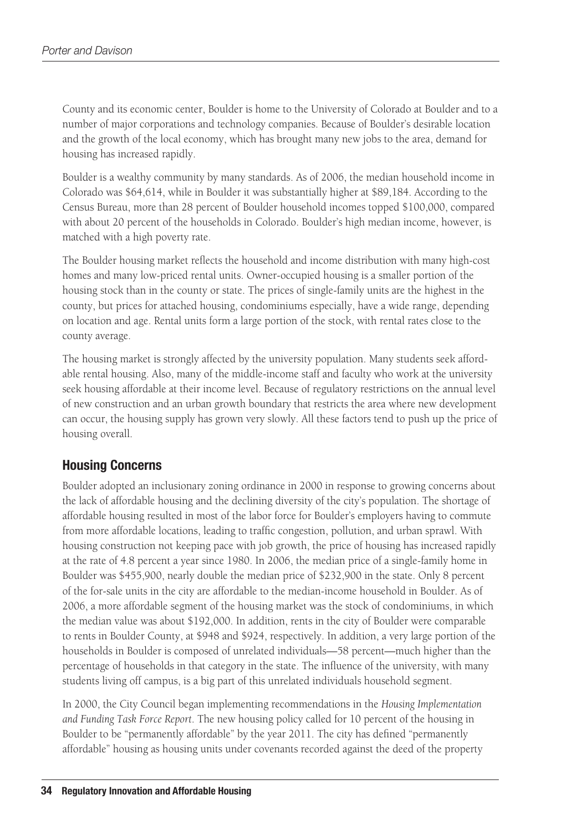County and its economic center, Boulder is home to the University of Colorado at Boulder and to a number of major corporations and technology companies. Because of Boulder's desirable location and the growth of the local economy, which has brought many new jobs to the area, demand for housing has increased rapidly.

Boulder is a wealthy community by many standards. As of 2006, the median household income in Colorado was \$64,614, while in Boulder it was substantially higher at \$89,184. According to the Census Bureau, more than 28 percent of Boulder household incomes topped \$100,000, compared with about 20 percent of the households in Colorado. Boulder's high median income, however, is matched with a high poverty rate.

The Boulder housing market reflects the household and income distribution with many high-cost homes and many low-priced rental units. Owner-occupied housing is a smaller portion of the housing stock than in the county or state. The prices of single-family units are the highest in the county, but prices for attached housing, condominiums especially, have a wide range, depending on location and age. Rental units form a large portion of the stock, with rental rates close to the county average.

The housing market is strongly affected by the university population. Many students seek affordable rental housing. Also, many of the middle-income staff and faculty who work at the university seek housing affordable at their income level. Because of regulatory restrictions on the annual level of new construction and an urban growth boundary that restricts the area where new development can occur, the housing supply has grown very slowly. All these factors tend to push up the price of housing overall.

### **Housing Concerns**

Boulder adopted an inclusionary zoning ordinance in 2000 in response to growing concerns about the lack of affordable housing and the declining diversity of the city's population. The shortage of affordable housing resulted in most of the labor force for Boulder's employers having to commute from more affordable locations, leading to traffic congestion, pollution, and urban sprawl. With housing construction not keeping pace with job growth, the price of housing has increased rapidly at the rate of 4.8 percent a year since 1980. In 2006, the median price of a single-family home in Boulder was \$455,900, nearly double the median price of \$232,900 in the state. Only 8 percent of the for-sale units in the city are affordable to the median-income household in Boulder. As of 2006, a more affordable segment of the housing market was the stock of condominiums, in which the median value was about \$192,000. In addition, rents in the city of Boulder were comparable to rents in Boulder County, at \$948 and \$924, respectively. In addition, a very large portion of the households in Boulder is composed of unrelated individuals—58 percent—much higher than the percentage of households in that category in the state. The influence of the university, with many students living off campus, is a big part of this unrelated individuals household segment.

In 2000, the City Council began implementing recommendations in the *Housing Implementation and Funding Task Force Report*. The new housing policy called for 10 percent of the housing in Boulder to be "permanently affordable" by the year 2011. The city has defined "permanently affordable" housing as housing units under covenants recorded against the deed of the property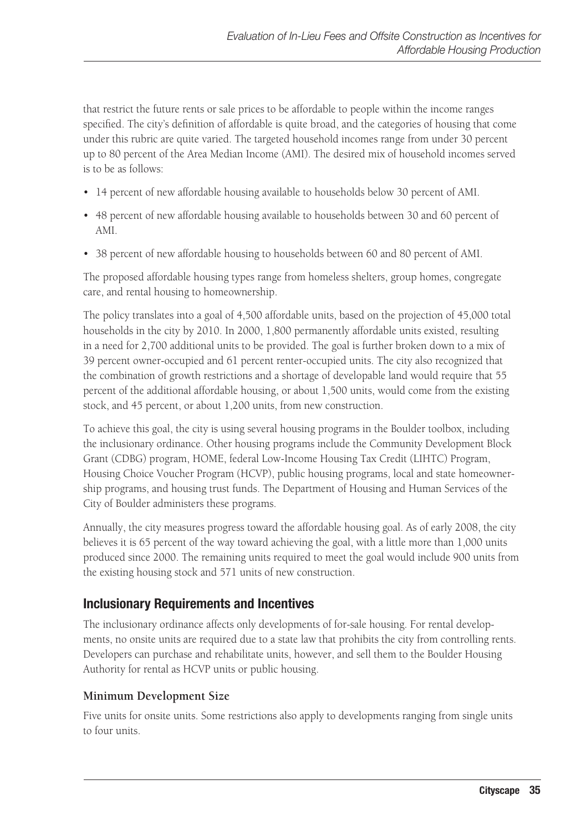that restrict the future rents or sale prices to be affordable to people within the income ranges specified. The city's definition of affordable is quite broad, and the categories of housing that come under this rubric are quite varied. The targeted household incomes range from under 30 percent up to 80 percent of the Area Median Income (AMI). The desired mix of household incomes served is to be as follows:

- • 14 percent of new affordable housing available to households below 30 percent of AMI.
- • 48 percent of new affordable housing available to households between 30 and 60 percent of AMI.
- 38 percent of new affordable housing to households between 60 and 80 percent of AMI.

The proposed affordable housing types range from homeless shelters, group homes, congregate care, and rental housing to homeownership.

The policy translates into a goal of 4,500 affordable units, based on the projection of 45,000 total households in the city by 2010. In 2000, 1,800 permanently affordable units existed, resulting in a need for 2,700 additional units to be provided. The goal is further broken down to a mix of 39 percent owner-occupied and 61 percent renter-occupied units. The city also recognized that the combination of growth restrictions and a shortage of developable land would require that 55 percent of the additional affordable housing, or about 1,500 units, would come from the existing stock, and 45 percent, or about 1,200 units, from new construction.

To achieve this goal, the city is using several housing programs in the Boulder toolbox, including the inclusionary ordinance. Other housing programs include the Community Development Block Grant (CDBG) program, HOME, federal Low-Income Housing Tax Credit (LIHTC) Program, Housing Choice Voucher Program (HCVP), public housing programs, local and state homeownership programs, and housing trust funds. The Department of Housing and Human Services of the City of Boulder administers these programs.

Annually, the city measures progress toward the affordable housing goal. As of early 2008, the city believes it is 65 percent of the way toward achieving the goal, with a little more than 1,000 units produced since 2000. The remaining units required to meet the goal would include 900 units from the existing housing stock and 571 units of new construction.

### **Inclusionary Requirements and Incentives**

The inclusionary ordinance affects only developments of for-sale housing. For rental developments, no onsite units are required due to a state law that prohibits the city from controlling rents. Developers can purchase and rehabilitate units, however, and sell them to the Boulder Housing Authority for rental as HCVP units or public housing.

### **Minimum Development Size**

Five units for onsite units. Some restrictions also apply to developments ranging from single units to four units.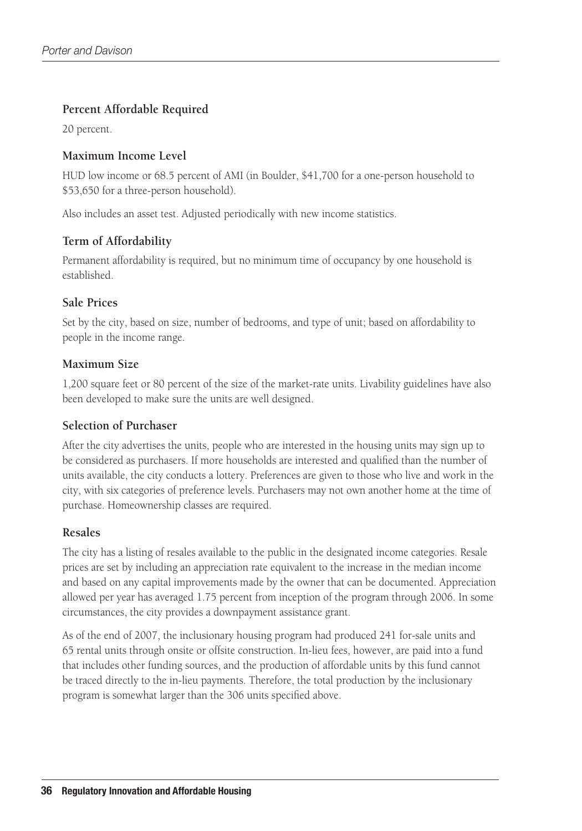### **Percent Affordable Required**

20 percent.

### **Maximum Income Level**

HUD low income or 68.5 percent of AMI (in Boulder, \$41,700 for a one-person household to \$53,650 for a three-person household).

Also includes an asset test. Adjusted periodically with new income statistics.

### **Term of Affordability**

Permanent affordability is required, but no minimum time of occupancy by one household is established.

### **Sale Prices**

Set by the city, based on size, number of bedrooms, and type of unit; based on affordability to people in the income range.

### **Maximum Size**

1,200 square feet or 80 percent of the size of the market-rate units. Livability guidelines have also been developed to make sure the units are well designed.

### **Selection of Purchaser**

After the city advertises the units, people who are interested in the housing units may sign up to be considered as purchasers. If more households are interested and qualified than the number of units available, the city conducts a lottery. Preferences are given to those who live and work in the city, with six categories of preference levels. Purchasers may not own another home at the time of purchase. Homeownership classes are required.

### **Resales**

The city has a listing of resales available to the public in the designated income categories. Resale prices are set by including an appreciation rate equivalent to the increase in the median income and based on any capital improvements made by the owner that can be documented. Appreciation allowed per year has averaged 1.75 percent from inception of the program through 2006. In some circumstances, the city provides a downpayment assistance grant.

As of the end of 2007, the inclusionary housing program had produced 241 for-sale units and 65 rental units through onsite or offsite construction. In-lieu fees, however, are paid into a fund that includes other funding sources, and the production of affordable units by this fund cannot be traced directly to the in-lieu payments. Therefore, the total production by the inclusionary program is somewhat larger than the 306 units specified above.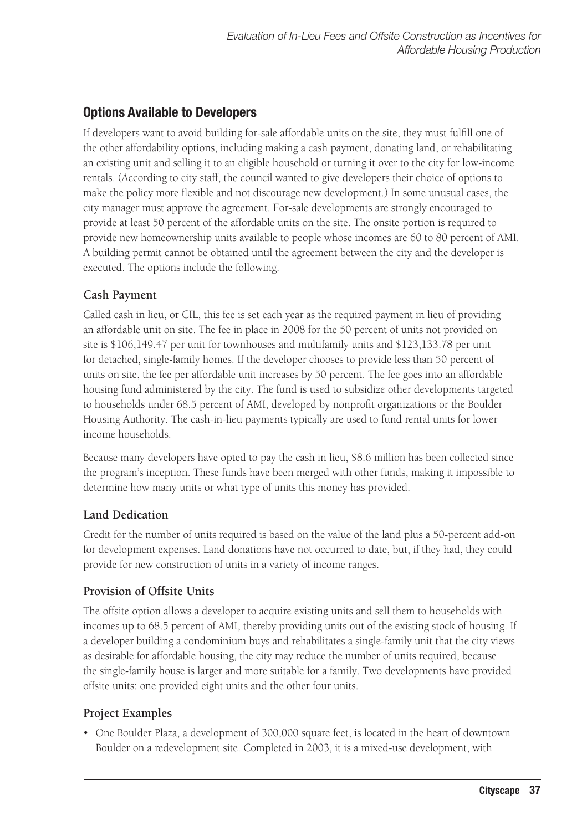### **Options Available to Developers**

If developers want to avoid building for-sale affordable units on the site, they must fulfill one of the other affordability options, including making a cash payment, donating land, or rehabilitating an existing unit and selling it to an eligible household or turning it over to the city for low-income rentals. (According to city staff, the council wanted to give developers their choice of options to make the policy more flexible and not discourage new development.) In some unusual cases, the city manager must approve the agreement. For-sale developments are strongly encouraged to provide at least 50 percent of the affordable units on the site. The onsite portion is required to provide new homeownership units available to people whose incomes are 60 to 80 percent of AMI. A building permit cannot be obtained until the agreement between the city and the developer is executed. The options include the following.

### **Cash Payment**

Called cash in lieu, or CIL, this fee is set each year as the required payment in lieu of providing an affordable unit on site. The fee in place in 2008 for the 50 percent of units not provided on site is \$106,149.47 per unit for townhouses and multifamily units and \$123,133.78 per unit for detached, single-family homes. If the developer chooses to provide less than 50 percent of units on site, the fee per affordable unit increases by 50 percent. The fee goes into an affordable housing fund administered by the city. The fund is used to subsidize other developments targeted to households under 68.5 percent of AMI, developed by nonprofit organizations or the Boulder Housing Authority. The cash-in-lieu payments typically are used to fund rental units for lower income households.

Because many developers have opted to pay the cash in lieu, \$8.6 million has been collected since the program's inception. These funds have been merged with other funds, making it impossible to determine how many units or what type of units this money has provided.

### **Land Dedication**

Credit for the number of units required is based on the value of the land plus a 50-percent add-on for development expenses. Land donations have not occurred to date, but, if they had, they could provide for new construction of units in a variety of income ranges.

### **Provision of Offsite Units**

The offsite option allows a developer to acquire existing units and sell them to households with incomes up to 68.5 percent of AMI, thereby providing units out of the existing stock of housing. If a developer building a condominium buys and rehabilitates a single-family unit that the city views as desirable for affordable housing, the city may reduce the number of units required, because the single-family house is larger and more suitable for a family. Two developments have provided offsite units: one provided eight units and the other four units.

### **Project Examples**

• One Boulder Plaza, a development of 300,000 square feet, is located in the heart of downtown Boulder on a redevelopment site. Completed in 2003, it is a mixed-use development, with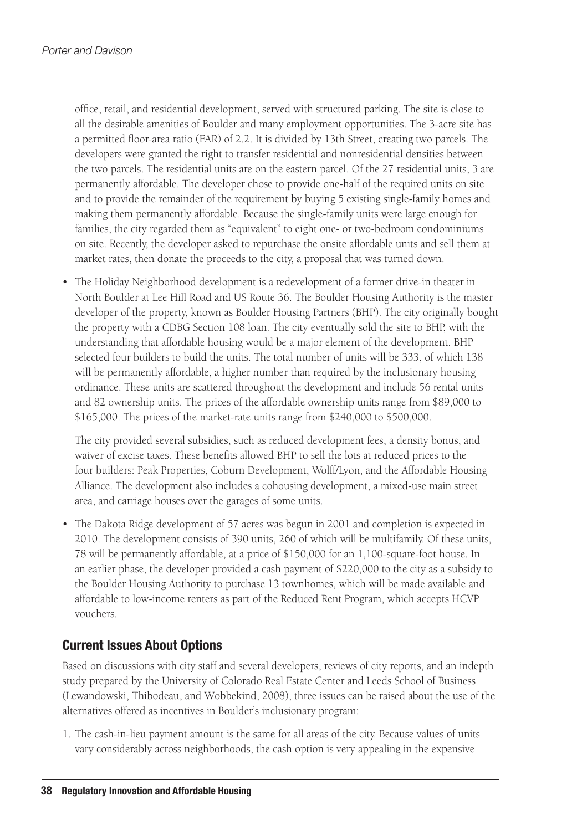office, retail, and residential development, served with structured parking. The site is close to all the desirable amenities of Boulder and many employment opportunities. The 3-acre site has a permitted floor-area ratio (FAR) of 2.2. It is divided by 13th Street, creating two parcels. The developers were granted the right to transfer residential and nonresidential densities between the two parcels. The residential units are on the eastern parcel. Of the 27 residential units, 3 are permanently affordable. The developer chose to provide one-half of the required units on site and to provide the remainder of the requirement by buying 5 existing single-family homes and making them permanently affordable. Because the single-family units were large enough for families, the city regarded them as "equivalent" to eight one- or two-bedroom condominiums on site. Recently, the developer asked to repurchase the onsite affordable units and sell them at market rates, then donate the proceeds to the city, a proposal that was turned down.

• The Holiday Neighborhood development is a redevelopment of a former drive-in theater in North Boulder at Lee Hill Road and US Route 36. The Boulder Housing Authority is the master developer of the property, known as Boulder Housing Partners (BHP). The city originally bought the property with a CDBG Section 108 loan. The city eventually sold the site to BHP, with the understanding that affordable housing would be a major element of the development. BHP selected four builders to build the units. The total number of units will be 333, of which 138 will be permanently affordable, a higher number than required by the inclusionary housing ordinance. These units are scattered throughout the development and include 56 rental units and 82 ownership units. The prices of the affordable ownership units range from \$89,000 to \$165,000. The prices of the market-rate units range from \$240,000 to \$500,000.

The city provided several subsidies, such as reduced development fees, a density bonus, and waiver of excise taxes. These benefits allowed BHP to sell the lots at reduced prices to the four builders: Peak Properties, Coburn Development, Wolff/Lyon, and the Affordable Housing Alliance. The development also includes a cohousing development, a mixed-use main street area, and carriage houses over the garages of some units.

• The Dakota Ridge development of 57 acres was begun in 2001 and completion is expected in 2010. The development consists of 390 units, 260 of which will be multifamily. Of these units, 78 will be permanently affordable, at a price of \$150,000 for an 1,100-square-foot house. In an earlier phase, the developer provided a cash payment of \$220,000 to the city as a subsidy to the Boulder Housing Authority to purchase 13 townhomes, which will be made available and affordable to low-income renters as part of the Reduced Rent Program, which accepts HCVP vouchers.

### **Current Issues About Options**

Based on discussions with city staff and several developers, reviews of city reports, and an indepth study prepared by the University of Colorado Real Estate Center and Leeds School of Business (Lewandowski, Thibodeau, and Wobbekind, 2008), three issues can be raised about the use of the alternatives offered as incentives in Boulder's inclusionary program:

1. The cash-in-lieu payment amount is the same for all areas of the city. Because values of units vary considerably across neighborhoods, the cash option is very appealing in the expensive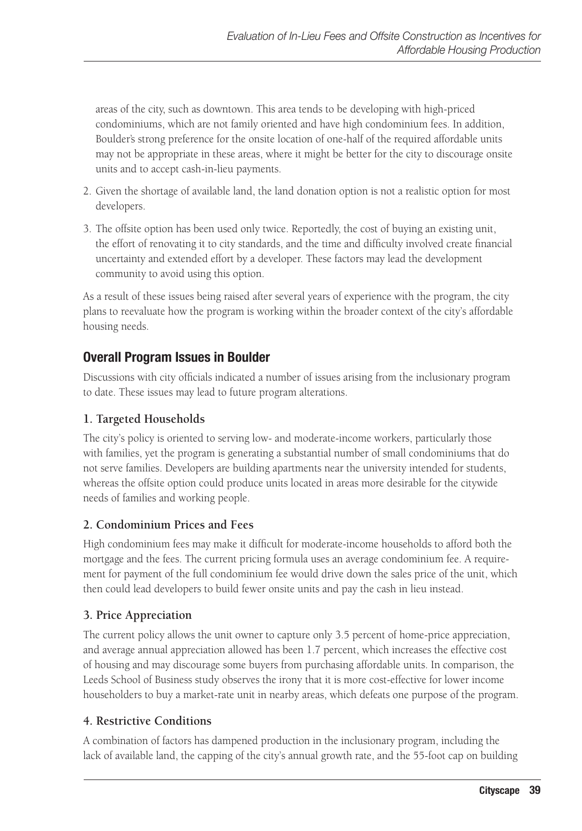areas of the city, such as downtown. This area tends to be developing with high-priced condominiums, which are not family oriented and have high condominium fees. In addition, Boulder's strong preference for the onsite location of one-half of the required affordable units may not be appropriate in these areas, where it might be better for the city to discourage onsite units and to accept cash-in-lieu payments.

- 2. Given the shortage of available land, the land donation option is not a realistic option for most developers.
- 3. The offsite option has been used only twice. Reportedly, the cost of buying an existing unit, the effort of renovating it to city standards, and the time and difficulty involved create financial uncertainty and extended effort by a developer. These factors may lead the development community to avoid using this option.

As a result of these issues being raised after several years of experience with the program, the city plans to reevaluate how the program is working within the broader context of the city's affordable housing needs.

### **Overall Program Issues in Boulder**

Discussions with city officials indicated a number of issues arising from the inclusionary program to date. These issues may lead to future program alterations.

### **1. Targeted Households**

The city's policy is oriented to serving low- and moderate-income workers, particularly those with families, yet the program is generating a substantial number of small condominiums that do not serve families. Developers are building apartments near the university intended for students, whereas the offsite option could produce units located in areas more desirable for the citywide needs of families and working people.

### **2. Condominium Prices and Fees**

High condominium fees may make it difficult for moderate-income households to afford both the mortgage and the fees. The current pricing formula uses an average condominium fee. A requirement for payment of the full condominium fee would drive down the sales price of the unit, which then could lead developers to build fewer onsite units and pay the cash in lieu instead.

### **3. Price Appreciation**

The current policy allows the unit owner to capture only 3.5 percent of home-price appreciation, and average annual appreciation allowed has been 1.7 percent, which increases the effective cost of housing and may discourage some buyers from purchasing affordable units. In comparison, the Leeds School of Business study observes the irony that it is more cost-effective for lower income householders to buy a market-rate unit in nearby areas, which defeats one purpose of the program.

### **4. Restrictive Conditions**

A combination of factors has dampened production in the inclusionary program, including the lack of available land, the capping of the city's annual growth rate, and the 55-foot cap on building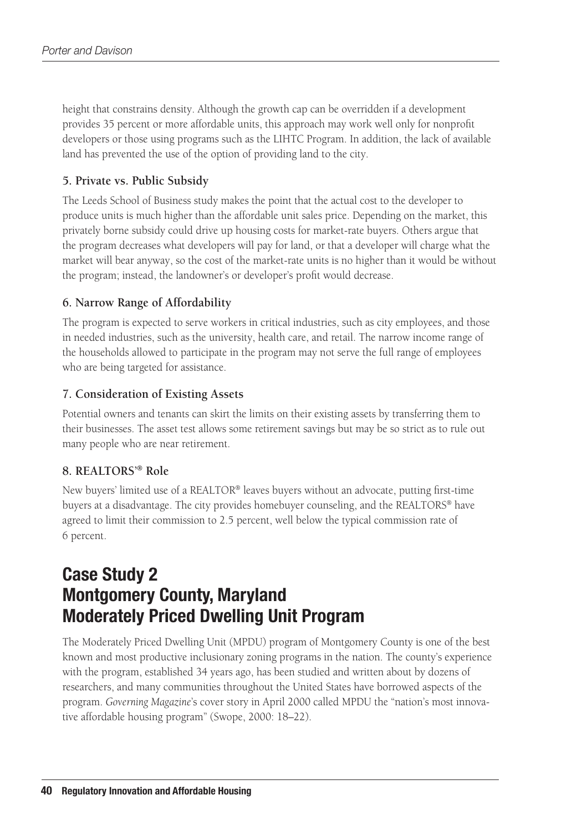height that constrains density. Although the growth cap can be overridden if a development provides 35 percent or more affordable units, this approach may work well only for nonprofit developers or those using programs such as the LIHTC Program. In addition, the lack of available land has prevented the use of the option of providing land to the city.

### **5. Private vs. Public Subsidy**

The Leeds School of Business study makes the point that the actual cost to the developer to produce units is much higher than the affordable unit sales price. Depending on the market, this privately borne subsidy could drive up housing costs for market-rate buyers. Others argue that the program decreases what developers will pay for land, or that a developer will charge what the market will bear anyway, so the cost of the market-rate units is no higher than it would be without the program; instead, the landowner's or developer's profit would decrease.

### **6. Narrow Range of Affordability**

The program is expected to serve workers in critical industries, such as city employees, and those in needed industries, such as the university, health care, and retail. The narrow income range of the households allowed to participate in the program may not serve the full range of employees who are being targeted for assistance.

### **7. Consideration of Existing Assets**

Potential owners and tenants can skirt the limits on their existing assets by transferring them to their businesses. The asset test allows some retirement savings but may be so strict as to rule out many people who are near retirement.

### **8. REALTORS'® Role**

New buyers' limited use of a REALTOR® leaves buyers without an advocate, putting first-time buyers at a disadvantage. The city provides homebuyer counseling, and the REALTORS® have agreed to limit their commission to 2.5 percent, well below the typical commission rate of 6 percent.

# **Case Study 2 Montgomery County, Maryland Moderately Priced Dwelling Unit Program**

The Moderately Priced Dwelling Unit (MPDU) program of Montgomery County is one of the best known and most productive inclusionary zoning programs in the nation. The county's experience with the program, established 34 years ago, has been studied and written about by dozens of researchers, and many communities throughout the United States have borrowed aspects of the program. *Governing Magazine*'s cover story in April 2000 called MPDU the "nation's most innovative affordable housing program" (Swope, 2000: 18–22).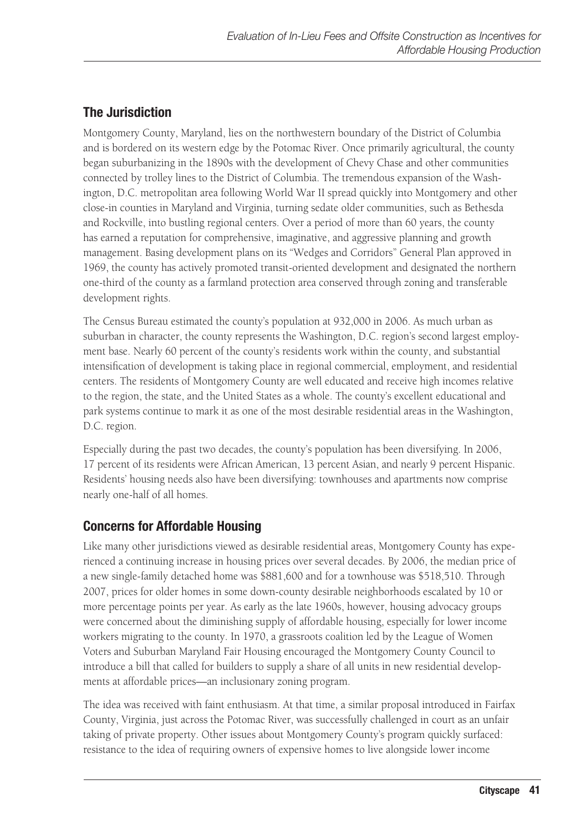### **The Jurisdiction**

Montgomery County, Maryland, lies on the northwestern boundary of the District of Columbia and is bordered on its western edge by the Potomac River. Once primarily agricultural, the county began suburbanizing in the 1890s with the development of Chevy Chase and other communities connected by trolley lines to the District of Columbia. The tremendous expansion of the Washington, D.C. metropolitan area following World War II spread quickly into Montgomery and other close-in counties in Maryland and Virginia, turning sedate older communities, such as Bethesda and Rockville, into bustling regional centers. Over a period of more than 60 years, the county has earned a reputation for comprehensive, imaginative, and aggressive planning and growth management. Basing development plans on its "Wedges and Corridors" General Plan approved in 1969, the county has actively promoted transit-oriented development and designated the northern one-third of the county as a farmland protection area conserved through zoning and transferable development rights.

The Census Bureau estimated the county's population at 932,000 in 2006. As much urban as suburban in character, the county represents the Washington, D.C. region's second largest employment base. Nearly 60 percent of the county's residents work within the county, and substantial intensification of development is taking place in regional commercial, employment, and residential centers. The residents of Montgomery County are well educated and receive high incomes relative to the region, the state, and the United States as a whole. The county's excellent educational and park systems continue to mark it as one of the most desirable residential areas in the Washington, D.C. region.

Especially during the past two decades, the county's population has been diversifying. In 2006, 17 percent of its residents were African American, 13 percent Asian, and nearly 9 percent Hispanic. Residents' housing needs also have been diversifying: townhouses and apartments now comprise nearly one-half of all homes.

### **Concerns for Affordable Housing**

Like many other jurisdictions viewed as desirable residential areas, Montgomery County has experienced a continuing increase in housing prices over several decades. By 2006, the median price of a new single-family detached home was \$881,600 and for a townhouse was \$518,510. Through 2007, prices for older homes in some down-county desirable neighborhoods escalated by 10 or more percentage points per year. As early as the late 1960s, however, housing advocacy groups were concerned about the diminishing supply of affordable housing, especially for lower income workers migrating to the county. In 1970, a grassroots coalition led by the League of Women Voters and Suburban Maryland Fair Housing encouraged the Montgomery County Council to introduce a bill that called for builders to supply a share of all units in new residential developments at affordable prices—an inclusionary zoning program.

The idea was received with faint enthusiasm. At that time, a similar proposal introduced in Fairfax County, Virginia, just across the Potomac River, was successfully challenged in court as an unfair taking of private property. Other issues about Montgomery County's program quickly surfaced: resistance to the idea of requiring owners of expensive homes to live alongside lower income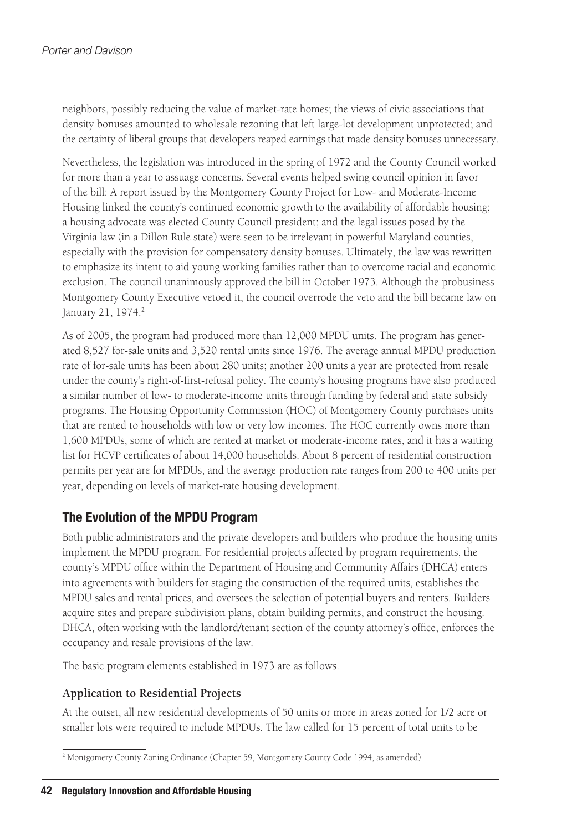neighbors, possibly reducing the value of market-rate homes; the views of civic associations that density bonuses amounted to wholesale rezoning that left large-lot development unprotected; and the certainty of liberal groups that developers reaped earnings that made density bonuses unnecessary.

Nevertheless, the legislation was introduced in the spring of 1972 and the County Council worked for more than a year to assuage concerns. Several events helped swing council opinion in favor of the bill: A report issued by the Montgomery County Project for Low- and Moderate-Income Housing linked the county's continued economic growth to the availability of affordable housing; a housing advocate was elected County Council president; and the legal issues posed by the Virginia law (in a Dillon Rule state) were seen to be irrelevant in powerful Maryland counties, especially with the provision for compensatory density bonuses. Ultimately, the law was rewritten to emphasize its intent to aid young working families rather than to overcome racial and economic exclusion. The council unanimously approved the bill in October 1973. Although the probusiness Montgomery County Executive vetoed it, the council overrode the veto and the bill became law on January 21, 1974.<sup>2</sup>

As of 2005, the program had produced more than 12,000 MPDU units. The program has generated 8,527 for-sale units and 3,520 rental units since 1976. The average annual MPDU production rate of for-sale units has been about 280 units; another 200 units a year are protected from resale under the county's right-of-first-refusal policy. The county's housing programs have also produced a similar number of low- to moderate-income units through funding by federal and state subsidy programs. The Housing Opportunity Commission (HOC) of Montgomery County purchases units that are rented to households with low or very low incomes. The HOC currently owns more than 1,600 MPDUs, some of which are rented at market or moderate-income rates, and it has a waiting list for HCVP certificates of about 14,000 households. About 8 percent of residential construction permits per year are for MPDUs, and the average production rate ranges from 200 to 400 units per year, depending on levels of market-rate housing development.

### **The Evolution of the MPDU Program**

Both public administrators and the private developers and builders who produce the housing units implement the MPDU program. For residential projects affected by program requirements, the county's MPDU office within the Department of Housing and Community Affairs (DHCA) enters into agreements with builders for staging the construction of the required units, establishes the MPDU sales and rental prices, and oversees the selection of potential buyers and renters. Builders acquire sites and prepare subdivision plans, obtain building permits, and construct the housing. DHCA, often working with the landlord/tenant section of the county attorney's office, enforces the occupancy and resale provisions of the law.

The basic program elements established in 1973 are as follows.

### **Application to Residential Projects**

At the outset, all new residential developments of 50 units or more in areas zoned for 1/2 acre or smaller lots were required to include MPDUs. The law called for 15 percent of total units to be

<sup>2</sup> Montgomery County Zoning Ordinance (Chapter 59, Montgomery County Code 1994, as amended).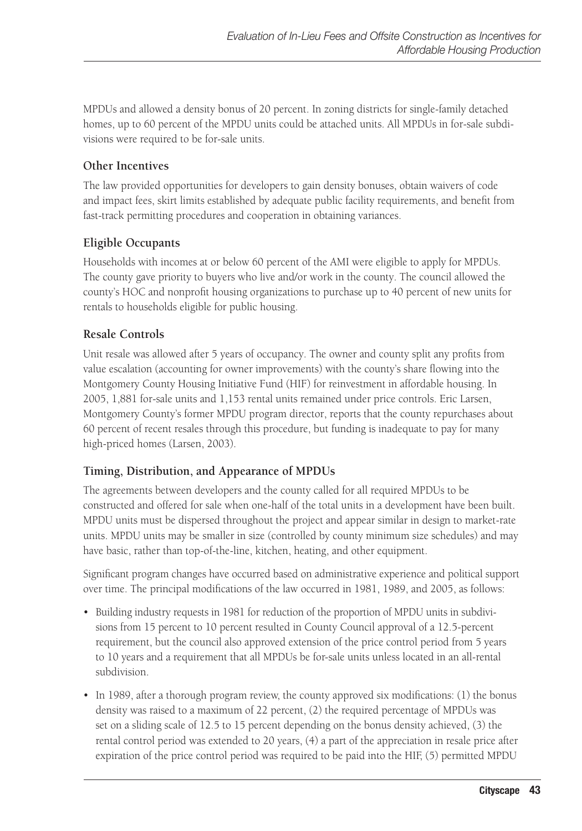MPDUs and allowed a density bonus of 20 percent. In zoning districts for single-family detached homes, up to 60 percent of the MPDU units could be attached units. All MPDUs in for-sale subdivisions were required to be for-sale units.

### **Other Incentives**

The law provided opportunities for developers to gain density bonuses, obtain waivers of code and impact fees, skirt limits established by adequate public facility requirements, and benefit from fast-track permitting procedures and cooperation in obtaining variances.

### **Eligible Occupants**

Households with incomes at or below 60 percent of the AMI were eligible to apply for MPDUs. The county gave priority to buyers who live and/or work in the county. The council allowed the county's HOC and nonprofit housing organizations to purchase up to 40 percent of new units for rentals to households eligible for public housing.

### **Resale Controls**

Unit resale was allowed after 5 years of occupancy. The owner and county split any profits from value escalation (accounting for owner improvements) with the county's share flowing into the Montgomery County Housing Initiative Fund (HIF) for reinvestment in affordable housing. In 2005, 1,881 for-sale units and 1,153 rental units remained under price controls. Eric Larsen, Montgomery County's former MPDU program director, reports that the county repurchases about 60 percent of recent resales through this procedure, but funding is inadequate to pay for many high-priced homes (Larsen, 2003).

### **Timing, Distribution, and Appearance of MPDUs**

The agreements between developers and the county called for all required MPDUs to be constructed and offered for sale when one-half of the total units in a development have been built. MPDU units must be dispersed throughout the project and appear similar in design to market-rate units. MPDU units may be smaller in size (controlled by county minimum size schedules) and may have basic, rather than top-of-the-line, kitchen, heating, and other equipment.

Significant program changes have occurred based on administrative experience and political support over time. The principal modifications of the law occurred in 1981, 1989, and 2005, as follows:

- • Building industry requests in 1981 for reduction of the proportion of MPDU units in subdivisions from 15 percent to 10 percent resulted in County Council approval of a 12.5-percent requirement, but the council also approved extension of the price control period from 5 years to 10 years and a requirement that all MPDUs be for-sale units unless located in an all-rental subdivision.
- In 1989, after a thorough program review, the county approved six modifications: (1) the bonus density was raised to a maximum of 22 percent, (2) the required percentage of MPDUs was set on a sliding scale of 12.5 to 15 percent depending on the bonus density achieved, (3) the rental control period was extended to 20 years, (4) a part of the appreciation in resale price after expiration of the price control period was required to be paid into the HIF, (5) permitted MPDU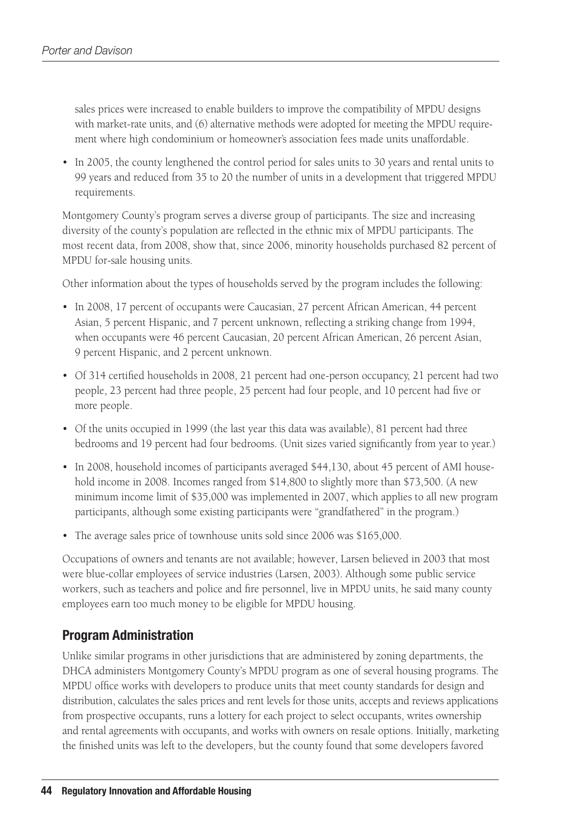sales prices were increased to enable builders to improve the compatibility of MPDU designs with market-rate units, and (6) alternative methods were adopted for meeting the MPDU requirement where high condominium or homeowner's association fees made units unaffordable.

• In 2005, the county lengthened the control period for sales units to 30 years and rental units to 99 years and reduced from 35 to 20 the number of units in a development that triggered MPDU requirements.

Montgomery County's program serves a diverse group of participants. The size and increasing diversity of the county's population are reflected in the ethnic mix of MPDU participants. The most recent data, from 2008, show that, since 2006, minority households purchased 82 percent of MPDU for-sale housing units.

Other information about the types of households served by the program includes the following:

- In 2008, 17 percent of occupants were Caucasian, 27 percent African American, 44 percent Asian, 5 percent Hispanic, and 7 percent unknown, reflecting a striking change from 1994, when occupants were 46 percent Caucasian, 20 percent African American, 26 percent Asian, 9 percent Hispanic, and 2 percent unknown.
- • Of 314 certified households in 2008, 21 percent had one-person occupancy, 21 percent had two people, 23 percent had three people, 25 percent had four people, and 10 percent had five or more people.
- Of the units occupied in 1999 (the last year this data was available), 81 percent had three bedrooms and 19 percent had four bedrooms. (Unit sizes varied significantly from year to year.)
- In 2008, household incomes of participants averaged \$44,130, about 45 percent of AMI household income in 2008. Incomes ranged from \$14,800 to slightly more than \$73,500. (A new minimum income limit of \$35,000 was implemented in 2007, which applies to all new program participants, although some existing participants were "grandfathered" in the program.)
- The average sales price of townhouse units sold since 2006 was \$165,000.

Occupations of owners and tenants are not available; however, Larsen believed in 2003 that most were blue-collar employees of service industries (Larsen, 2003). Although some public service workers, such as teachers and police and fire personnel, live in MPDU units, he said many county employees earn too much money to be eligible for MPDU housing.

### **Program Administration**

Unlike similar programs in other jurisdictions that are administered by zoning departments, the DHCA administers Montgomery County's MPDU program as one of several housing programs. The MPDU office works with developers to produce units that meet county standards for design and distribution, calculates the sales prices and rent levels for those units, accepts and reviews applications from prospective occupants, runs a lottery for each project to select occupants, writes ownership and rental agreements with occupants, and works with owners on resale options. Initially, marketing the finished units was left to the developers, but the county found that some developers favored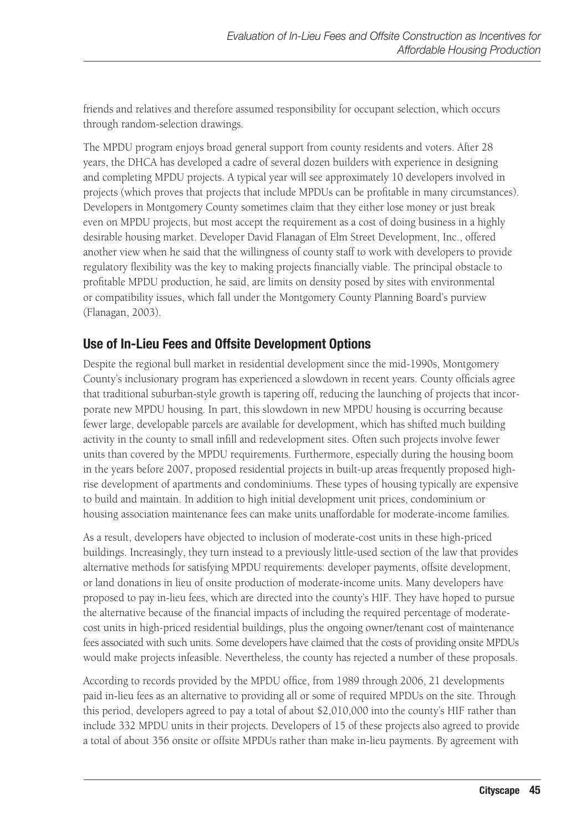friends and relatives and therefore assumed responsibility for occupant selection, which occurs through random-selection drawings.

The MPDU program enjoys broad general support from county residents and voters. After 28 years, the DHCA has developed a cadre of several dozen builders with experience in designing and completing MPDU projects. A typical year will see approximately 10 developers involved in projects (which proves that projects that include MPDUs can be profitable in many circumstances). Developers in Montgomery County sometimes claim that they either lose money or just break even on MPDU projects, but most accept the requirement as a cost of doing business in a highly desirable housing market. Developer David Flanagan of Elm Street Development, Inc., offered another view when he said that the willingness of county staff to work with developers to provide regulatory flexibility was the key to making projects financially viable. The principal obstacle to profitable MPDU production, he said, are limits on density posed by sites with environmental or compatibility issues, which fall under the Montgomery County Planning Board's purview (Flanagan, 2003).

### **Use of In-Lieu Fees and Offsite Development Options**

Despite the regional bull market in residential development since the mid-1990s, Montgomery County's inclusionary program has experienced a slowdown in recent years. County officials agree that traditional suburban-style growth is tapering off, reducing the launching of projects that incorporate new MPDU housing. In part, this slowdown in new MPDU housing is occurring because fewer large, developable parcels are available for development, which has shifted much building activity in the county to small infill and redevelopment sites. Often such projects involve fewer units than covered by the MPDU requirements. Furthermore, especially during the housing boom in the years before 2007, proposed residential projects in built-up areas frequently proposed highrise development of apartments and condominiums. These types of housing typically are expensive to build and maintain. In addition to high initial development unit prices, condominium or housing association maintenance fees can make units unaffordable for moderate-income families.

As a result, developers have objected to inclusion of moderate-cost units in these high-priced buildings. Increasingly, they turn instead to a previously little-used section of the law that provides alternative methods for satisfying MPDU requirements: developer payments, offsite development, or land donations in lieu of onsite production of moderate-income units. Many developers have proposed to pay in-lieu fees, which are directed into the county's HIF. They have hoped to pursue the alternative because of the financial impacts of including the required percentage of moderatecost units in high-priced residential buildings, plus the ongoing owner/tenant cost of maintenance fees associated with such units. Some developers have claimed that the costs of providing onsite MPDUs would make projects infeasible. Nevertheless, the county has rejected a number of these proposals.

According to records provided by the MPDU office, from 1989 through 2006, 21 developments paid in-lieu fees as an alternative to providing all or some of required MPDUs on the site. Through this period, developers agreed to pay a total of about \$2,010,000 into the county's HIF rather than include 332 MPDU units in their projects. Developers of 15 of these projects also agreed to provide a total of about 356 onsite or offsite MPDUs rather than make in-lieu payments. By agreement with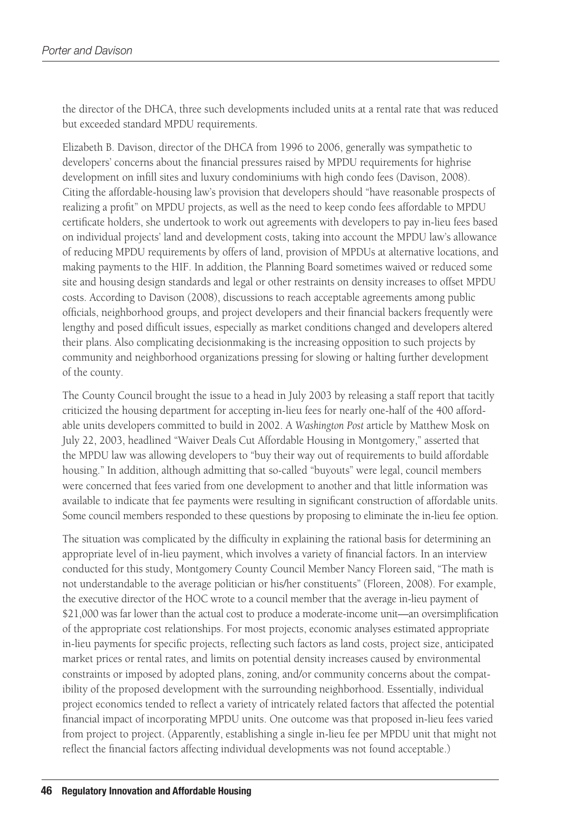the director of the DHCA, three such developments included units at a rental rate that was reduced but exceeded standard MPDU requirements.

Elizabeth B. Davison, director of the DHCA from 1996 to 2006, generally was sympathetic to developers' concerns about the financial pressures raised by MPDU requirements for highrise development on infill sites and luxury condominiums with high condo fees (Davison, 2008). Citing the affordable-housing law's provision that developers should "have reasonable prospects of realizing a profit" on MPDU projects, as well as the need to keep condo fees affordable to MPDU certificate holders, she undertook to work out agreements with developers to pay in-lieu fees based on individual projects' land and development costs, taking into account the MPDU law's allowance of reducing MPDU requirements by offers of land, provision of MPDUs at alternative locations, and making payments to the HIF. In addition, the Planning Board sometimes waived or reduced some site and housing design standards and legal or other restraints on density increases to offset MPDU costs. According to Davison (2008), discussions to reach acceptable agreements among public officials, neighborhood groups, and project developers and their financial backers frequently were lengthy and posed difficult issues, especially as market conditions changed and developers altered their plans. Also complicating decisionmaking is the increasing opposition to such projects by community and neighborhood organizations pressing for slowing or halting further development of the county.

The County Council brought the issue to a head in July 2003 by releasing a staff report that tacitly criticized the housing department for accepting in-lieu fees for nearly one-half of the 400 affordable units developers committed to build in 2002. A *Washington Post* article by Matthew Mosk on July 22, 2003, headlined "Waiver Deals Cut Affordable Housing in Montgomery," asserted that the MPDU law was allowing developers to "buy their way out of requirements to build affordable housing." In addition, although admitting that so-called "buyouts" were legal, council members were concerned that fees varied from one development to another and that little information was available to indicate that fee payments were resulting in significant construction of affordable units. Some council members responded to these questions by proposing to eliminate the in-lieu fee option.

The situation was complicated by the difficulty in explaining the rational basis for determining an appropriate level of in-lieu payment, which involves a variety of financial factors. In an interview conducted for this study, Montgomery County Council Member Nancy Floreen said, "The math is not understandable to the average politician or his/her constituents" (Floreen, 2008). For example, the executive director of the HOC wrote to a council member that the average in-lieu payment of \$21,000 was far lower than the actual cost to produce a moderate-income unit—an oversimplification of the appropriate cost relationships. For most projects, economic analyses estimated appropriate in-lieu payments for specific projects, reflecting such factors as land costs, project size, anticipated market prices or rental rates, and limits on potential density increases caused by environmental constraints or imposed by adopted plans, zoning, and/or community concerns about the compatibility of the proposed development with the surrounding neighborhood. Essentially, individual project economics tended to reflect a variety of intricately related factors that affected the potential financial impact of incorporating MPDU units. One outcome was that proposed in-lieu fees varied from project to project. (Apparently, establishing a single in-lieu fee per MPDU unit that might not reflect the financial factors affecting individual developments was not found acceptable.)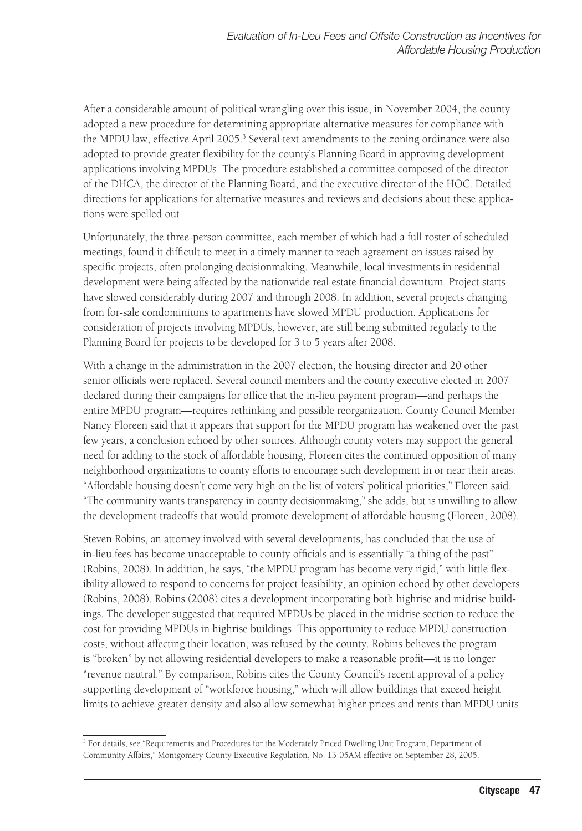After a considerable amount of political wrangling over this issue, in November 2004, the county adopted a new procedure for determining appropriate alternative measures for compliance with the MPDU law, effective April 2005.<sup>3</sup> Several text amendments to the zoning ordinance were also adopted to provide greater flexibility for the county's Planning Board in approving development applications involving MPDUs. The procedure established a committee composed of the director of the DHCA, the director of the Planning Board, and the executive director of the HOC. Detailed directions for applications for alternative measures and reviews and decisions about these applications were spelled out.

Unfortunately, the three-person committee, each member of which had a full roster of scheduled meetings, found it difficult to meet in a timely manner to reach agreement on issues raised by specific projects, often prolonging decisionmaking. Meanwhile, local investments in residential development were being affected by the nationwide real estate financial downturn. Project starts have slowed considerably during 2007 and through 2008. In addition, several projects changing from for-sale condominiums to apartments have slowed MPDU production. Applications for consideration of projects involving MPDUs, however, are still being submitted regularly to the Planning Board for projects to be developed for 3 to 5 years after 2008.

With a change in the administration in the 2007 election, the housing director and 20 other senior officials were replaced. Several council members and the county executive elected in 2007 declared during their campaigns for office that the in-lieu payment program—and perhaps the entire MPDU program—requires rethinking and possible reorganization. County Council Member Nancy Floreen said that it appears that support for the MPDU program has weakened over the past few years, a conclusion echoed by other sources. Although county voters may support the general need for adding to the stock of affordable housing, Floreen cites the continued opposition of many neighborhood organizations to county efforts to encourage such development in or near their areas. "Affordable housing doesn't come very high on the list of voters' political priorities," Floreen said. "The community wants transparency in county decisionmaking," she adds, but is unwilling to allow the development tradeoffs that would promote development of affordable housing (Floreen, 2008).

Steven Robins, an attorney involved with several developments, has concluded that the use of in-lieu fees has become unacceptable to county officials and is essentially "a thing of the past" (Robins, 2008). In addition, he says, "the MPDU program has become very rigid," with little flexibility allowed to respond to concerns for project feasibility, an opinion echoed by other developers (Robins, 2008). Robins (2008) cites a development incorporating both highrise and midrise buildings. The developer suggested that required MPDUs be placed in the midrise section to reduce the cost for providing MPDUs in highrise buildings. This opportunity to reduce MPDU construction costs, without affecting their location, was refused by the county. Robins believes the program is "broken" by not allowing residential developers to make a reasonable profit—it is no longer "revenue neutral." By comparison, Robins cites the County Council's recent approval of a policy supporting development of "workforce housing," which will allow buildings that exceed height limits to achieve greater density and also allow somewhat higher prices and rents than MPDU units

<sup>&</sup>lt;sup>3</sup> For details, see "Requirements and Procedures for the Moderately Priced Dwelling Unit Program, Department of Community Affairs," Montgomery County Executive Regulation, No. 13-05AM effective on September 28, 2005.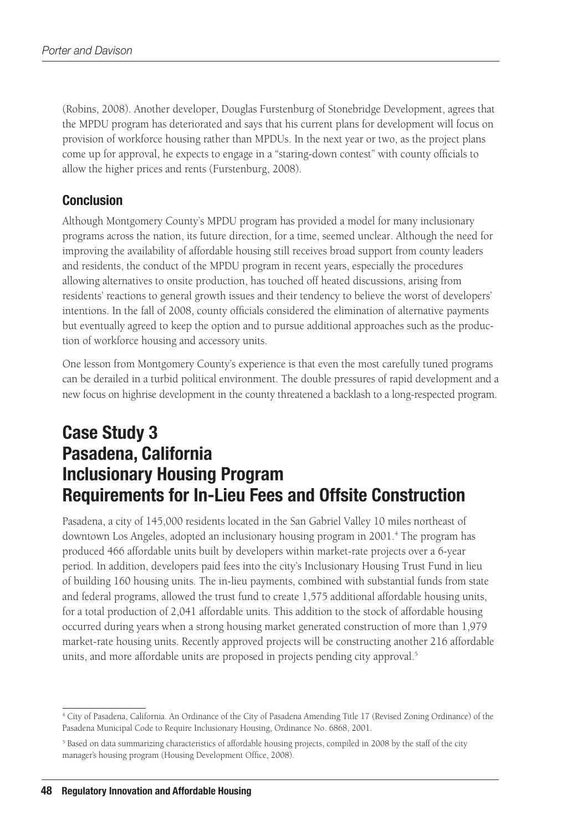(Robins, 2008). Another developer, Douglas Furstenburg of Stonebridge Development, agrees that the MPDU program has deteriorated and says that his current plans for development will focus on provision of workforce housing rather than MPDUs. In the next year or two, as the project plans come up for approval, he expects to engage in a "staring-down contest" with county officials to allow the higher prices and rents (Furstenburg, 2008).

### **Conclusion**

Although Montgomery County's MPDU program has provided a model for many inclusionary programs across the nation, its future direction, for a time, seemed unclear. Although the need for improving the availability of affordable housing still receives broad support from county leaders and residents, the conduct of the MPDU program in recent years, especially the procedures allowing alternatives to onsite production, has touched off heated discussions, arising from residents' reactions to general growth issues and their tendency to believe the worst of developers' intentions. In the fall of 2008, county officials considered the elimination of alternative payments but eventually agreed to keep the option and to pursue additional approaches such as the production of workforce housing and accessory units.

One lesson from Montgomery County's experience is that even the most carefully tuned programs can be derailed in a turbid political environment. The double pressures of rapid development and a new focus on highrise development in the county threatened a backlash to a long-respected program.

# **Case Study 3 Pasadena, California Inclusionary Housing Program Requirements for In-Lieu Fees and Offsite Construction**

Pasadena, a city of 145,000 residents located in the San Gabriel Valley 10 miles northeast of downtown Los Angeles, adopted an inclusionary housing program in 2001.<sup>4</sup> The program has produced 466 affordable units built by developers within market-rate projects over a 6-year period. In addition, developers paid fees into the city's Inclusionary Housing Trust Fund in lieu of building 160 housing units. The in-lieu payments, combined with substantial funds from state and federal programs, allowed the trust fund to create 1,575 additional affordable housing units, for a total production of 2,041 affordable units. This addition to the stock of affordable housing occurred during years when a strong housing market generated construction of more than 1,979 market-rate housing units. Recently approved projects will be constructing another 216 affordable units, and more affordable units are proposed in projects pending city approval.<sup>5</sup>

<sup>4</sup> City of Pasadena, California. An Ordinance of the City of Pasadena Amending Title 17 (Revised Zoning Ordinance) of the Pasadena Municipal Code to Require Inclusionary Housing, Ordinance No. 6868, 2001.

<sup>&</sup>lt;sup>5</sup> Based on data summarizing characteristics of affordable housing projects, compiled in 2008 by the staff of the city manager's housing program (Housing Development Office, 2008).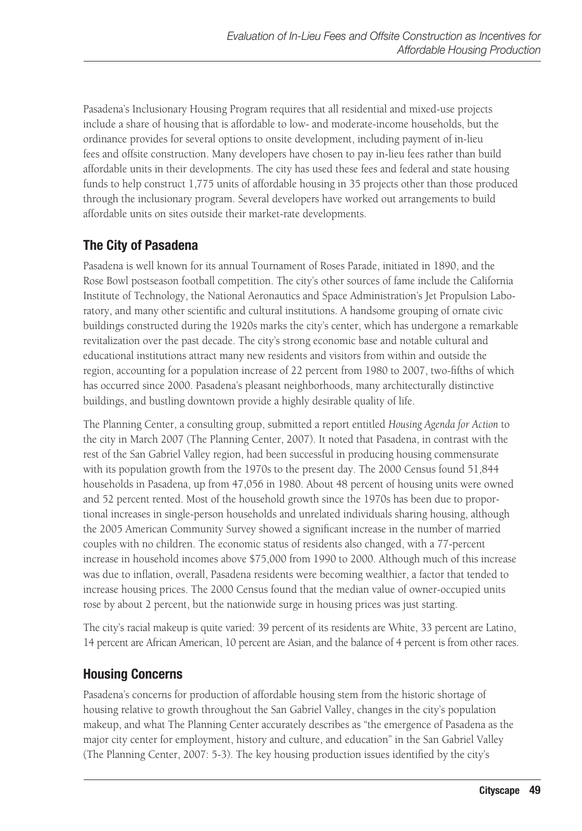Pasadena's Inclusionary Housing Program requires that all residential and mixed-use projects include a share of housing that is affordable to low- and moderate-income households, but the ordinance provides for several options to onsite development, including payment of in-lieu fees and offsite construction. Many developers have chosen to pay in-lieu fees rather than build affordable units in their developments. The city has used these fees and federal and state housing funds to help construct 1,775 units of affordable housing in 35 projects other than those produced through the inclusionary program. Several developers have worked out arrangements to build affordable units on sites outside their market-rate developments.

### **The City of Pasadena**

Pasadena is well known for its annual Tournament of Roses Parade, initiated in 1890, and the Rose Bowl postseason football competition. The city's other sources of fame include the California Institute of Technology, the National Aeronautics and Space Administration's Jet Propulsion Laboratory, and many other scientific and cultural institutions. A handsome grouping of ornate civic buildings constructed during the 1920s marks the city's center, which has undergone a remarkable revitalization over the past decade. The city's strong economic base and notable cultural and educational institutions attract many new residents and visitors from within and outside the region, accounting for a population increase of 22 percent from 1980 to 2007, two-fifths of which has occurred since 2000. Pasadena's pleasant neighborhoods, many architecturally distinctive buildings, and bustling downtown provide a highly desirable quality of life.

The Planning Center, a consulting group, submitted a report entitled *Housing Agenda for Action* to the city in March 2007 (The Planning Center, 2007). It noted that Pasadena, in contrast with the rest of the San Gabriel Valley region, had been successful in producing housing commensurate with its population growth from the 1970s to the present day. The 2000 Census found 51,844 households in Pasadena, up from 47,056 in 1980. About 48 percent of housing units were owned and 52 percent rented. Most of the household growth since the 1970s has been due to proportional increases in single-person households and unrelated individuals sharing housing, although the 2005 American Community Survey showed a significant increase in the number of married couples with no children. The economic status of residents also changed, with a 77-percent increase in household incomes above \$75,000 from 1990 to 2000. Although much of this increase was due to inflation, overall, Pasadena residents were becoming wealthier, a factor that tended to increase housing prices. The 2000 Census found that the median value of owner-occupied units rose by about 2 percent, but the nationwide surge in housing prices was just starting.

The city's racial makeup is quite varied: 39 percent of its residents are White, 33 percent are Latino, 14 percent are African American, 10 percent are Asian, and the balance of 4 percent is from other races.

### **Housing Concerns**

Pasadena's concerns for production of affordable housing stem from the historic shortage of housing relative to growth throughout the San Gabriel Valley, changes in the city's population makeup, and what The Planning Center accurately describes as "the emergence of Pasadena as the major city center for employment, history and culture, and education" in the San Gabriel Valley (The Planning Center, 2007: 5-3). The key housing production issues identified by the city's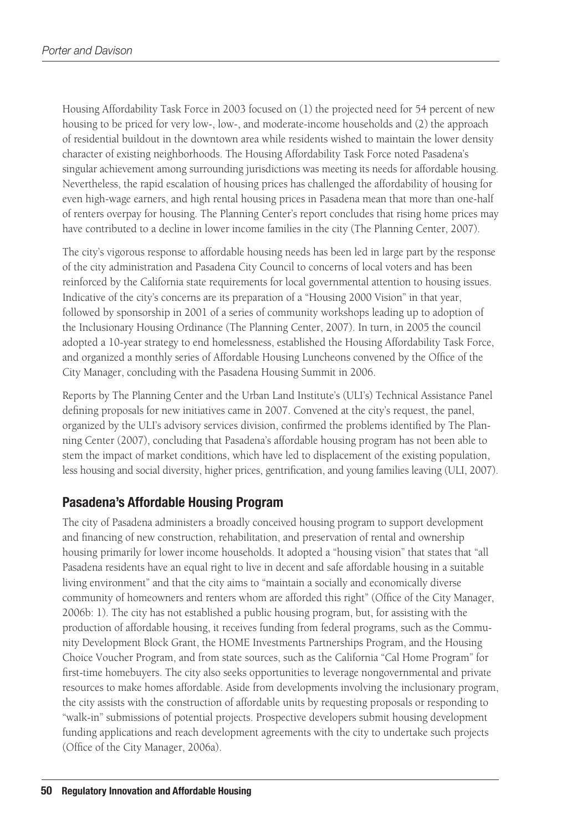Housing Affordability Task Force in 2003 focused on (1) the projected need for 54 percent of new housing to be priced for very low-, low-, and moderate-income households and (2) the approach of residential buildout in the downtown area while residents wished to maintain the lower density character of existing neighborhoods. The Housing Affordability Task Force noted Pasadena's singular achievement among surrounding jurisdictions was meeting its needs for affordable housing. Nevertheless, the rapid escalation of housing prices has challenged the affordability of housing for even high-wage earners, and high rental housing prices in Pasadena mean that more than one-half of renters overpay for housing. The Planning Center's report concludes that rising home prices may have contributed to a decline in lower income families in the city (The Planning Center, 2007).

The city's vigorous response to affordable housing needs has been led in large part by the response of the city administration and Pasadena City Council to concerns of local voters and has been reinforced by the California state requirements for local governmental attention to housing issues. Indicative of the city's concerns are its preparation of a "Housing 2000 Vision" in that year, followed by sponsorship in 2001 of a series of community workshops leading up to adoption of the Inclusionary Housing Ordinance (The Planning Center, 2007). In turn, in 2005 the council adopted a 10-year strategy to end homelessness, established the Housing Affordability Task Force, and organized a monthly series of Affordable Housing Luncheons convened by the Office of the City Manager, concluding with the Pasadena Housing Summit in 2006.

Reports by The Planning Center and the Urban Land Institute's (ULI's) Technical Assistance Panel defining proposals for new initiatives came in 2007. Convened at the city's request, the panel, organized by the ULI's advisory services division, confirmed the problems identified by The Planning Center (2007), concluding that Pasadena's affordable housing program has not been able to stem the impact of market conditions, which have led to displacement of the existing population, less housing and social diversity, higher prices, gentrification, and young families leaving (ULI, 2007).

### **Pasadena's Affordable Housing Program**

The city of Pasadena administers a broadly conceived housing program to support development and financing of new construction, rehabilitation, and preservation of rental and ownership housing primarily for lower income households. It adopted a "housing vision" that states that "all Pasadena residents have an equal right to live in decent and safe affordable housing in a suitable living environment" and that the city aims to "maintain a socially and economically diverse community of homeowners and renters whom are afforded this right" (Office of the City Manager, 2006b: 1). The city has not established a public housing program, but, for assisting with the production of affordable housing, it receives funding from federal programs, such as the Community Development Block Grant, the HOME Investments Partnerships Program, and the Housing Choice Voucher Program, and from state sources, such as the California "Cal Home Program" for first-time homebuyers. The city also seeks opportunities to leverage nongovernmental and private resources to make homes affordable. Aside from developments involving the inclusionary program, the city assists with the construction of affordable units by requesting proposals or responding to "walk-in" submissions of potential projects. Prospective developers submit housing development funding applications and reach development agreements with the city to undertake such projects (Office of the City Manager, 2006a).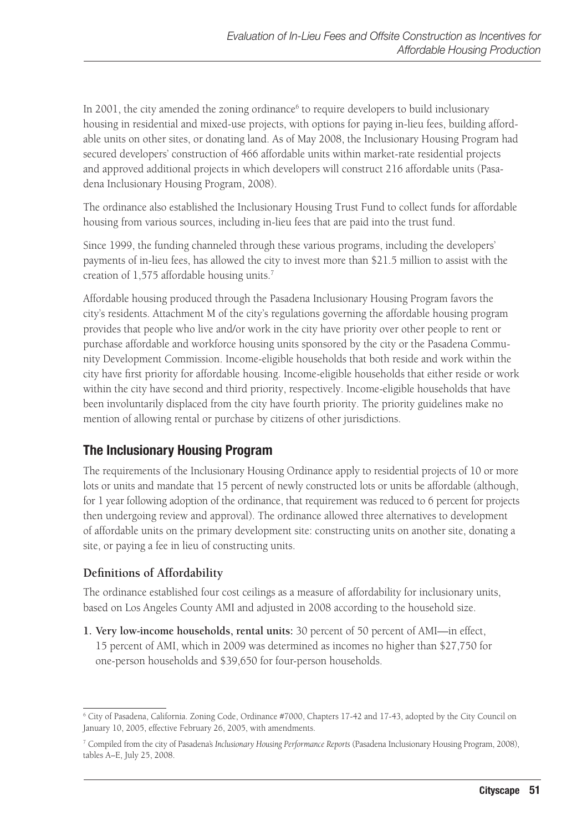In 2001, the city amended the zoning ordinance<sup>6</sup> to require developers to build inclusionary housing in residential and mixed-use projects, with options for paying in-lieu fees, building affordable units on other sites, or donating land. As of May 2008, the Inclusionary Housing Program had secured developers' construction of 466 affordable units within market-rate residential projects and approved additional projects in which developers will construct 216 affordable units (Pasadena Inclusionary Housing Program, 2008).

The ordinance also established the Inclusionary Housing Trust Fund to collect funds for affordable housing from various sources, including in-lieu fees that are paid into the trust fund.

Since 1999, the funding channeled through these various programs, including the developers' payments of in-lieu fees, has allowed the city to invest more than \$21.5 million to assist with the creation of 1,575 affordable housing units.<sup>7</sup>

Affordable housing produced through the Pasadena Inclusionary Housing Program favors the city's residents. Attachment M of the city's regulations governing the affordable housing program provides that people who live and/or work in the city have priority over other people to rent or purchase affordable and workforce housing units sponsored by the city or the Pasadena Community Development Commission. Income-eligible households that both reside and work within the city have first priority for affordable housing. Income-eligible households that either reside or work within the city have second and third priority, respectively. Income-eligible households that have been involuntarily displaced from the city have fourth priority. The priority guidelines make no mention of allowing rental or purchase by citizens of other jurisdictions.

### **The Inclusionary Housing Program**

The requirements of the Inclusionary Housing Ordinance apply to residential projects of 10 or more lots or units and mandate that 15 percent of newly constructed lots or units be affordable (although, for 1 year following adoption of the ordinance, that requirement was reduced to 6 percent for projects then undergoing review and approval). The ordinance allowed three alternatives to development of affordable units on the primary development site: constructing units on another site, donating a site, or paying a fee in lieu of constructing units.

### **Definitions of Affordability**

The ordinance established four cost ceilings as a measure of affordability for inclusionary units, based on Los Angeles County AMI and adjusted in 2008 according to the household size.

**1. Very low-income households, rental units:** 30 percent of 50 percent of AMI—in effect, 15 percent of AMI, which in 2009 was determined as incomes no higher than \$27,750 for one-person households and \$39,650 for four-person households.

<sup>6</sup> City of Pasadena, California. Zoning Code, Ordinance #7000, Chapters 17-42 and 17-43, adopted by the City Council on January 10, 2005, effective February 26, 2005, with amendments.

<sup>7</sup> Compiled from the city of Pasadena's *Inclusionary Housing Performance Reports* (Pasadena Inclusionary Housing Program, 2008), tables A–E, July 25, 2008.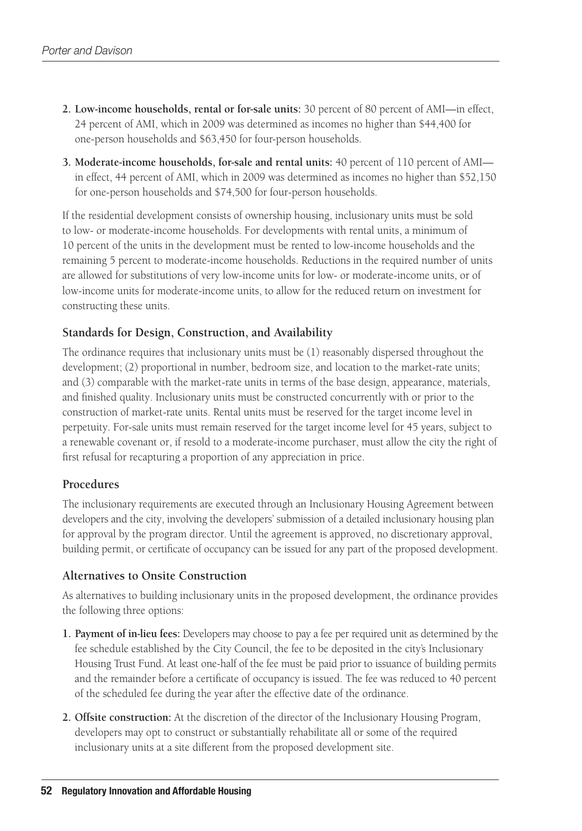- **2. Low-income households, rental or for-sale units:** 30 percent of 80 percent of AMI—in effect, 24 percent of AMI, which in 2009 was determined as incomes no higher than \$44,400 for one-person households and \$63,450 for four-person households.
- **3. Moderate-income households, for-sale and rental units:** 40 percent of 110 percent of AMI in effect, 44 percent of AMI, which in 2009 was determined as incomes no higher than \$52,150 for one-person households and \$74,500 for four-person households.

If the residential development consists of ownership housing, inclusionary units must be sold to low- or moderate-income households. For developments with rental units, a minimum of 10 percent of the units in the development must be rented to low-income households and the remaining 5 percent to moderate-income households. Reductions in the required number of units are allowed for substitutions of very low-income units for low- or moderate-income units, or of low-income units for moderate-income units, to allow for the reduced return on investment for constructing these units.

#### **Standards for Design, Construction, and Availability**

The ordinance requires that inclusionary units must be (1) reasonably dispersed throughout the development; (2) proportional in number, bedroom size, and location to the market-rate units; and (3) comparable with the market-rate units in terms of the base design, appearance, materials, and finished quality. Inclusionary units must be constructed concurrently with or prior to the construction of market-rate units. Rental units must be reserved for the target income level in perpetuity. For-sale units must remain reserved for the target income level for 45 years, subject to a renewable covenant or, if resold to a moderate-income purchaser, must allow the city the right of first refusal for recapturing a proportion of any appreciation in price.

#### **Procedures**

The inclusionary requirements are executed through an Inclusionary Housing Agreement between developers and the city, involving the developers' submission of a detailed inclusionary housing plan for approval by the program director. Until the agreement is approved, no discretionary approval, building permit, or certificate of occupancy can be issued for any part of the proposed development.

#### **Alternatives to Onsite Construction**

As alternatives to building inclusionary units in the proposed development, the ordinance provides the following three options:

- **1. Payment of in-lieu fees:** Developers may choose to pay a fee per required unit as determined by the fee schedule established by the City Council, the fee to be deposited in the city's Inclusionary Housing Trust Fund. At least one-half of the fee must be paid prior to issuance of building permits and the remainder before a certificate of occupancy is issued. The fee was reduced to 40 percent of the scheduled fee during the year after the effective date of the ordinance.
- **2. Offsite construction:** At the discretion of the director of the Inclusionary Housing Program, developers may opt to construct or substantially rehabilitate all or some of the required inclusionary units at a site different from the proposed development site.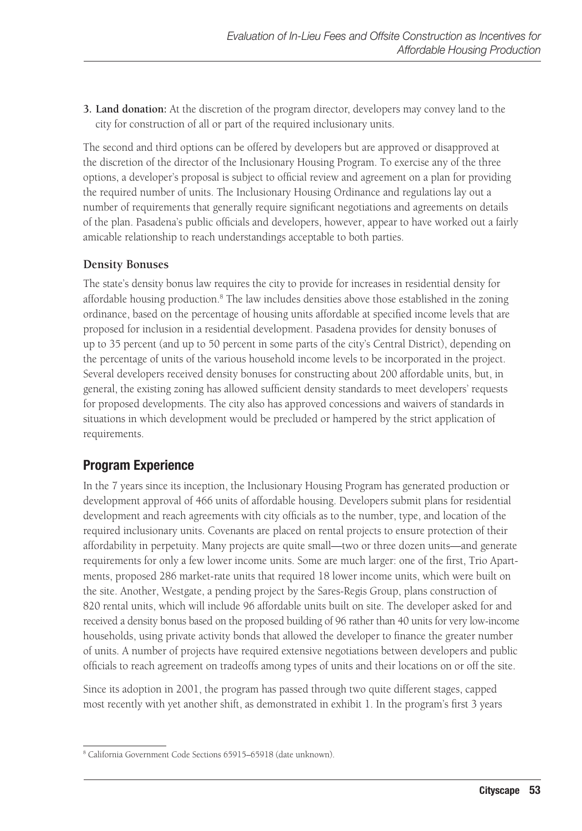**3. Land donation:** At the discretion of the program director, developers may convey land to the city for construction of all or part of the required inclusionary units.

The second and third options can be offered by developers but are approved or disapproved at the discretion of the director of the Inclusionary Housing Program. To exercise any of the three options, a developer's proposal is subject to official review and agreement on a plan for providing the required number of units. The Inclusionary Housing Ordinance and regulations lay out a number of requirements that generally require significant negotiations and agreements on details of the plan. Pasadena's public officials and developers, however, appear to have worked out a fairly amicable relationship to reach understandings acceptable to both parties.

### **Density Bonuses**

The state's density bonus law requires the city to provide for increases in residential density for affordable housing production.<sup>8</sup> The law includes densities above those established in the zoning ordinance, based on the percentage of housing units affordable at specified income levels that are proposed for inclusion in a residential development. Pasadena provides for density bonuses of up to 35 percent (and up to 50 percent in some parts of the city's Central District), depending on the percentage of units of the various household income levels to be incorporated in the project. Several developers received density bonuses for constructing about 200 affordable units, but, in general, the existing zoning has allowed sufficient density standards to meet developers' requests for proposed developments. The city also has approved concessions and waivers of standards in situations in which development would be precluded or hampered by the strict application of requirements.

### **Program Experience**

In the 7 years since its inception, the Inclusionary Housing Program has generated production or development approval of 466 units of affordable housing. Developers submit plans for residential development and reach agreements with city officials as to the number, type, and location of the required inclusionary units. Covenants are placed on rental projects to ensure protection of their affordability in perpetuity. Many projects are quite small—two or three dozen units—and generate requirements for only a few lower income units. Some are much larger: one of the first, Trio Apartments, proposed 286 market-rate units that required 18 lower income units, which were built on the site. Another, Westgate, a pending project by the Sares-Regis Group, plans construction of 820 rental units, which will include 96 affordable units built on site. The developer asked for and received a density bonus based on the proposed building of 96 rather than 40 units for very low-income households, using private activity bonds that allowed the developer to finance the greater number of units. A number of projects have required extensive negotiations between developers and public officials to reach agreement on tradeoffs among types of units and their locations on or off the site.

Since its adoption in 2001, the program has passed through two quite different stages, capped most recently with yet another shift, as demonstrated in exhibit 1. In the program's first 3 years

<sup>8</sup> California Government Code Sections 65915–65918 (date unknown).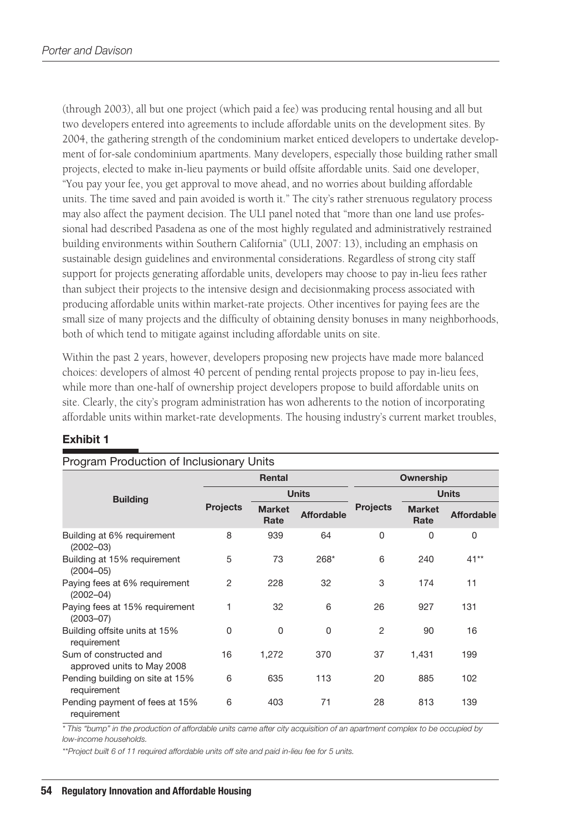(through 2003), all but one project (which paid a fee) was producing rental housing and all but two developers entered into agreements to include affordable units on the development sites. By 2004, the gathering strength of the condominium market enticed developers to undertake development of for-sale condominium apartments. Many developers, especially those building rather small projects, elected to make in-lieu payments or build offsite affordable units. Said one developer, "You pay your fee, you get approval to move ahead, and no worries about building affordable units. The time saved and pain avoided is worth it." The city's rather strenuous regulatory process may also affect the payment decision. The ULI panel noted that "more than one land use professional had described Pasadena as one of the most highly regulated and administratively restrained building environments within Southern California" (ULI, 2007: 13), including an emphasis on sustainable design guidelines and environmental considerations. Regardless of strong city staff support for projects generating affordable units, developers may choose to pay in-lieu fees rather than subject their projects to the intensive design and decisionmaking process associated with producing affordable units within market-rate projects. Other incentives for paying fees are the small size of many projects and the difficulty of obtaining density bonuses in many neighborhoods, both of which tend to mitigate against including affordable units on site.

Within the past 2 years, however, developers proposing new projects have made more balanced choices: developers of almost 40 percent of pending rental projects propose to pay in-lieu fees, while more than one-half of ownership project developers propose to build affordable units on site. Clearly, the city's program administration has won adherents to the notion of incorporating affordable units within market-rate developments. The housing industry's current market troubles,

| Program Production of Inclusionary Units             |                 |                       |                   |                 |                       |                   |  |  |
|------------------------------------------------------|-----------------|-----------------------|-------------------|-----------------|-----------------------|-------------------|--|--|
|                                                      | Rental          |                       |                   | Ownership       |                       |                   |  |  |
| <b>Building</b>                                      |                 | <b>Units</b>          |                   |                 | <b>Units</b>          |                   |  |  |
|                                                      | <b>Projects</b> | <b>Market</b><br>Rate | <b>Affordable</b> | <b>Projects</b> | <b>Market</b><br>Rate | <b>Affordable</b> |  |  |
| Building at 6% requirement<br>$(2002 - 03)$          | 8               | 939                   | 64                | $\Omega$        | 0                     | 0                 |  |  |
| Building at 15% requirement<br>$(2004 - 05)$         | 5               | 73                    | 268*              | 6               | 240                   | $41**$            |  |  |
| Paying fees at 6% requirement<br>$(2002 - 04)$       | 2               | 228                   | 32                | 3               | 174                   | 11                |  |  |
| Paying fees at 15% requirement<br>$(2003 - 07)$      | 1               | 32                    | 6                 | 26              | 927                   | 131               |  |  |
| Building offsite units at 15%<br>requirement         | 0               | $\Omega$              | $\Omega$          | $\overline{2}$  | 90                    | 16                |  |  |
| Sum of constructed and<br>approved units to May 2008 | 16              | 1,272                 | 370               | 37              | 1,431                 | 199               |  |  |
| Pending building on site at 15%<br>requirement       | 6               | 635                   | 113               | 20              | 885                   | 102               |  |  |
| Pending payment of fees at 15%<br>requirement        | 6               | 403                   | 71                | 28              | 813                   | 139               |  |  |

#### **Exhibit 1**

*\* This "bump" in the production of affordable units came after city acquisition of an apartment complex to be occupied by low-income households.*

*\*\*Project built 6 of 11 required affordable units off site and paid in-lieu fee for 5 units.*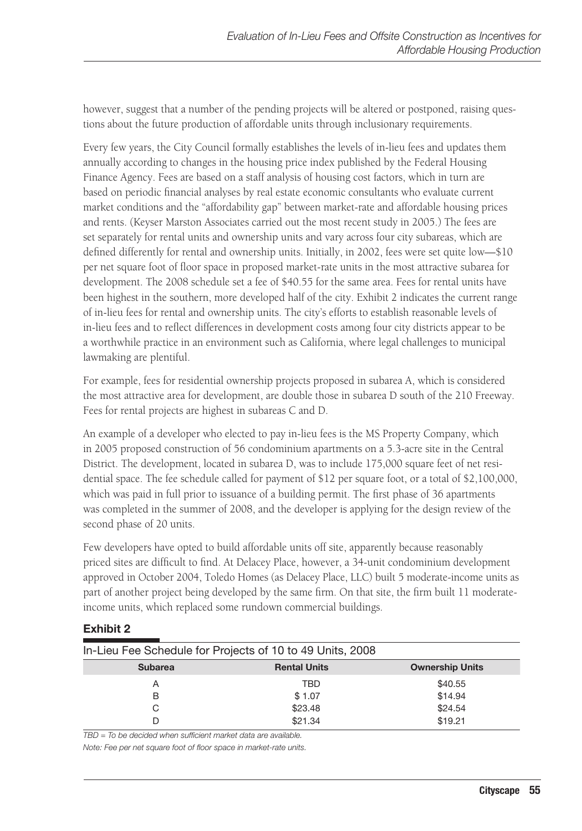however, suggest that a number of the pending projects will be altered or postponed, raising questions about the future production of affordable units through inclusionary requirements.

Every few years, the City Council formally establishes the levels of in-lieu fees and updates them annually according to changes in the housing price index published by the Federal Housing Finance Agency. Fees are based on a staff analysis of housing cost factors, which in turn are based on periodic financial analyses by real estate economic consultants who evaluate current market conditions and the "affordability gap" between market-rate and affordable housing prices and rents. (Keyser Marston Associates carried out the most recent study in 2005.) The fees are set separately for rental units and ownership units and vary across four city subareas, which are defined differently for rental and ownership units. Initially, in 2002, fees were set quite low—\$10 per net square foot of floor space in proposed market-rate units in the most attractive subarea for development. The 2008 schedule set a fee of \$40.55 for the same area. Fees for rental units have been highest in the southern, more developed half of the city. Exhibit 2 indicates the current range of in-lieu fees for rental and ownership units. The city's efforts to establish reasonable levels of in-lieu fees and to reflect differences in development costs among four city districts appear to be a worthwhile practice in an environment such as California, where legal challenges to municipal lawmaking are plentiful.

For example, fees for residential ownership projects proposed in subarea A, which is considered the most attractive area for development, are double those in subarea D south of the 210 Freeway. Fees for rental projects are highest in subareas C and D.

An example of a developer who elected to pay in-lieu fees is the MS Property Company, which in 2005 proposed construction of 56 condominium apartments on a 5.3-acre site in the Central District. The development, located in subarea D, was to include 175,000 square feet of net residential space. The fee schedule called for payment of \$12 per square foot, or a total of \$2,100,000, which was paid in full prior to issuance of a building permit. The first phase of 36 apartments was completed in the summer of 2008, and the developer is applying for the design review of the second phase of 20 units.

Few developers have opted to build affordable units off site, apparently because reasonably priced sites are difficult to find. At Delacey Place, however, a 34-unit condominium development approved in October 2004, Toledo Homes (as Delacey Place, LLC) built 5 moderate-income units as part of another project being developed by the same firm. On that site, the firm built 11 moderateincome units, which replaced some rundown commercial buildings.

| EXIIIDIL Z                                                |  |                     |                        |  |  |  |  |
|-----------------------------------------------------------|--|---------------------|------------------------|--|--|--|--|
| In-Lieu Fee Schedule for Projects of 10 to 49 Units, 2008 |  |                     |                        |  |  |  |  |
| <b>Subarea</b>                                            |  | <b>Rental Units</b> | <b>Ownership Units</b> |  |  |  |  |
| Α                                                         |  | TBD                 | \$40.55                |  |  |  |  |
| в                                                         |  | \$1.07              | \$14.94                |  |  |  |  |
| С                                                         |  | \$23.48             | \$24.54                |  |  |  |  |
|                                                           |  | \$21.34             | \$19.21                |  |  |  |  |

### **Exhibit 2**

*TBD = To be decided when sufficient market data are available.*

*Note: Fee per net square foot of floor space in market-rate units.*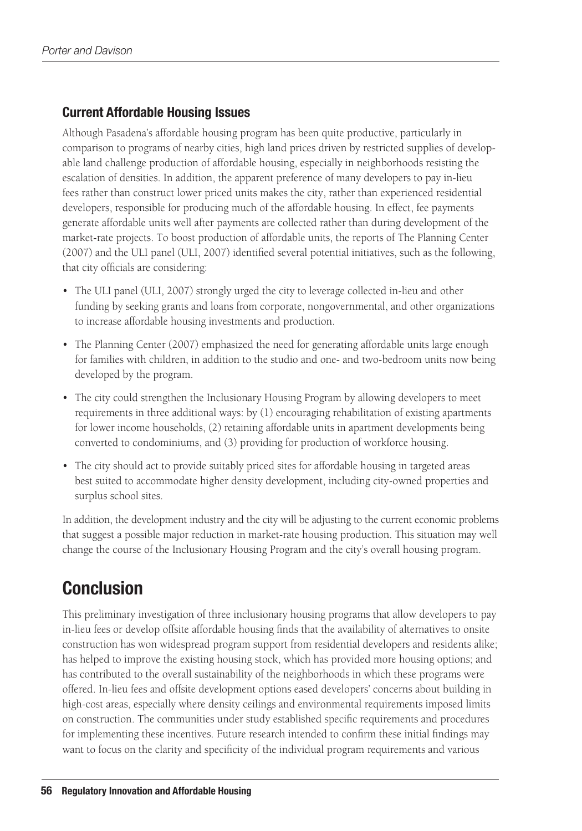### **Current Affordable Housing Issues**

Although Pasadena's affordable housing program has been quite productive, particularly in comparison to programs of nearby cities, high land prices driven by restricted supplies of developable land challenge production of affordable housing, especially in neighborhoods resisting the escalation of densities. In addition, the apparent preference of many developers to pay in-lieu fees rather than construct lower priced units makes the city, rather than experienced residential developers, responsible for producing much of the affordable housing. In effect, fee payments generate affordable units well after payments are collected rather than during development of the market-rate projects. To boost production of affordable units, the reports of The Planning Center (2007) and the ULI panel (ULI, 2007) identified several potential initiatives, such as the following, that city officials are considering:

- The ULI panel (ULI, 2007) strongly urged the city to leverage collected in-lieu and other funding by seeking grants and loans from corporate, nongovernmental, and other organizations to increase affordable housing investments and production.
- The Planning Center (2007) emphasized the need for generating affordable units large enough for families with children, in addition to the studio and one- and two-bedroom units now being developed by the program.
- The city could strengthen the Inclusionary Housing Program by allowing developers to meet requirements in three additional ways: by (1) encouraging rehabilitation of existing apartments for lower income households, (2) retaining affordable units in apartment developments being converted to condominiums, and (3) providing for production of workforce housing.
- • The city should act to provide suitably priced sites for affordable housing in targeted areas best suited to accommodate higher density development, including city-owned properties and surplus school sites.

In addition, the development industry and the city will be adjusting to the current economic problems that suggest a possible major reduction in market-rate housing production. This situation may well change the course of the Inclusionary Housing Program and the city's overall housing program.

# **Conclusion**

This preliminary investigation of three inclusionary housing programs that allow developers to pay in-lieu fees or develop offsite affordable housing finds that the availability of alternatives to onsite construction has won widespread program support from residential developers and residents alike; has helped to improve the existing housing stock, which has provided more housing options; and has contributed to the overall sustainability of the neighborhoods in which these programs were offered. In-lieu fees and offsite development options eased developers' concerns about building in high-cost areas, especially where density ceilings and environmental requirements imposed limits on construction. The communities under study established specific requirements and procedures for implementing these incentives. Future research intended to confirm these initial findings may want to focus on the clarity and specificity of the individual program requirements and various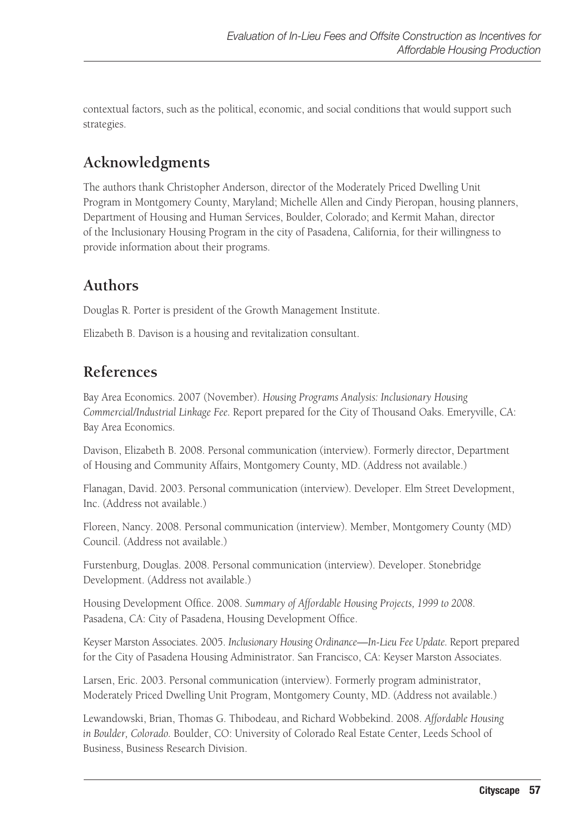contextual factors, such as the political, economic, and social conditions that would support such strategies.

# **Acknowledgments**

The authors thank Christopher Anderson, director of the Moderately Priced Dwelling Unit Program in Montgomery County, Maryland; Michelle Allen and Cindy Pieropan, housing planners, Department of Housing and Human Services, Boulder, Colorado; and Kermit Mahan, director of the Inclusionary Housing Program in the city of Pasadena, California, for their willingness to provide information about their programs.

# **Authors**

Douglas R. Porter is president of the Growth Management Institute.

Elizabeth B. Davison is a housing and revitalization consultant.

# **References**

Bay Area Economics. 2007 (November). *Housing Programs Analysis: Inclusionary Housing Commercial/Industrial Linkage Fee.* Report prepared for the City of Thousand Oaks. Emeryville, CA: Bay Area Economics.

Davison, Elizabeth B. 2008. Personal communication (interview). Formerly director, Department of Housing and Community Affairs, Montgomery County, MD. (Address not available.)

Flanagan, David. 2003. Personal communication (interview). Developer. Elm Street Development, Inc. (Address not available.)

Floreen, Nancy. 2008. Personal communication (interview). Member, Montgomery County (MD) Council. (Address not available.)

Furstenburg, Douglas. 2008. Personal communication (interview). Developer. Stonebridge Development. (Address not available.)

Housing Development Office. 2008. *Summary of Affordable Housing Projects, 1999 to 2008*. Pasadena, CA: City of Pasadena, Housing Development Office.

Keyser Marston Associates. 2005. *Inclusionary Housing Ordinance—In-Lieu Fee Update.* Report prepared for the City of Pasadena Housing Administrator. San Francisco, CA: Keyser Marston Associates.

Larsen, Eric. 2003. Personal communication (interview). Formerly program administrator, Moderately Priced Dwelling Unit Program, Montgomery County, MD. (Address not available.)

Lewandowski, Brian, Thomas G. Thibodeau, and Richard Wobbekind. 2008. *Affordable Housing in Boulder, Colorado.* Boulder, CO: University of Colorado Real Estate Center, Leeds School of Business, Business Research Division.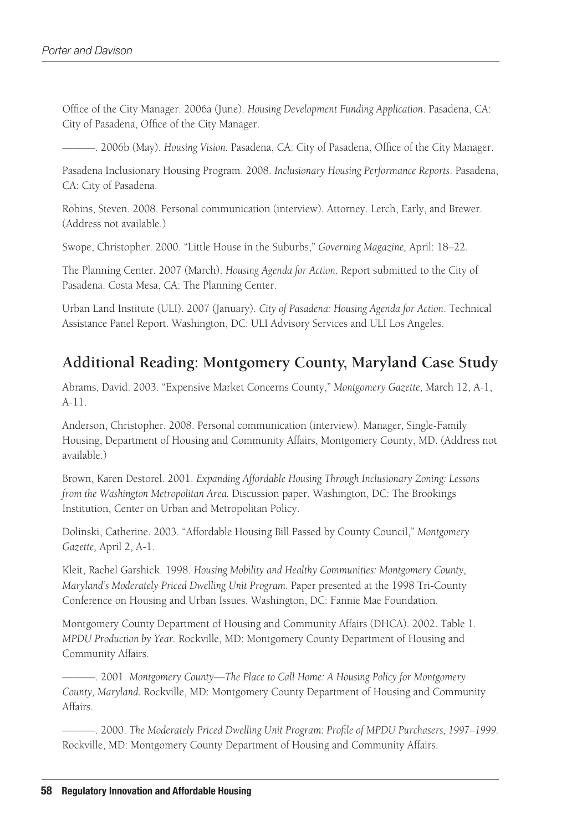Office of the City Manager. 2006a (June). *Housing Development Funding Application*. Pasadena, CA: City of Pasadena, Office of the City Manager.

———. 2006b (May). *Housing Vision.* Pasadena, CA: City of Pasadena, Office of the City Manager.

Pasadena Inclusionary Housing Program. 2008. *Inclusionary Housing Performance Reports*. Pasadena, CA: City of Pasadena.

Robins, Steven. 2008. Personal communication (interview). Attorney. Lerch, Early, and Brewer. (Address not available.)

Swope, Christopher. 2000. "Little House in the Suburbs," *Governing Magazine,* April: 18–22.

The Planning Center. 2007 (March). *Housing Agenda for Action.* Report submitted to the City of Pasadena. Costa Mesa, CA: The Planning Center.

Urban Land Institute (ULI). 2007 (January). *City of Pasadena: Housing Agenda for Action*. Technical Assistance Panel Report. Washington, DC: ULI Advisory Services and ULI Los Angeles.

### **Additional Reading: Montgomery County, Maryland Case Study**

Abrams, David. 2003. "Expensive Market Concerns County," *Montgomery Gazette,* March 12, A-1, A-11.

Anderson, Christopher. 2008. Personal communication (interview). Manager, Single-Family Housing, Department of Housing and Community Affairs, Montgomery County, MD. (Address not available.)

Brown, Karen Destorel. 2001. *Expanding Affordable Housing Through Inclusionary Zoning: Lessons from the Washington Metropolitan Area.* Discussion paper. Washington, DC: The Brookings Institution, Center on Urban and Metropolitan Policy.

Dolinski, Catherine. 2003. "Affordable Housing Bill Passed by County Council," *Montgomery Gazette,* April 2, A-1.

Kleit, Rachel Garshick. 1998. *Housing Mobility and Healthy Communities: Montgomery County, Maryland's Moderately Priced Dwelling Unit Program.* Paper presented at the 1998 Tri-County Conference on Housing and Urban Issues. Washington, DC: Fannie Mae Foundation.

Montgomery County Department of Housing and Community Affairs (DHCA). 2002. Table 1. *MPDU Production by Year.* Rockville, MD: Montgomery County Department of Housing and Community Affairs.

———. 2001. *Montgomery County—The Place to Call Home: A Housing Policy for Montgomery County, Maryland.* Rockville, MD: Montgomery County Department of Housing and Community Affairs.

———. 2000. *The Moderately Priced Dwelling Unit Program: Profile of MPDU Purchasers, 1997–1999.* Rockville, MD: Montgomery County Department of Housing and Community Affairs.